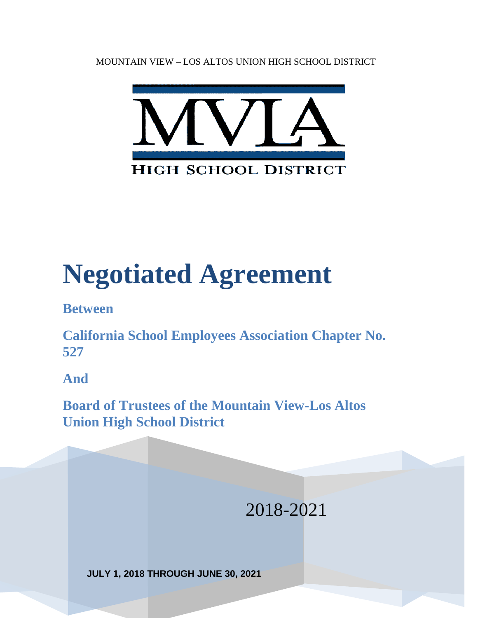MOUNTAIN VIEW – LOS ALTOS UNION HIGH SCHOOL DISTRICT



# **Negotiated Agreement**

**Between**

**California School Employees Association Chapter No. 527**

**And**

**Board of Trustees of the Mountain View-Los Altos Union High School District** 

- 1 -

2018-2021

**JULY 1, 2018 THROUGH JUNE 30, 2021**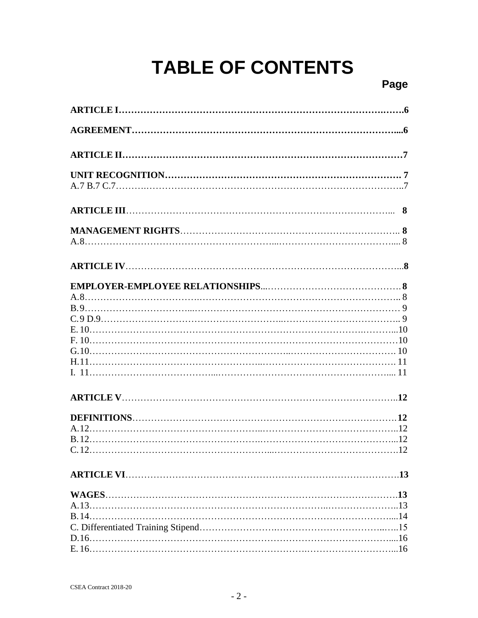## **TABLE OF CONTENTS**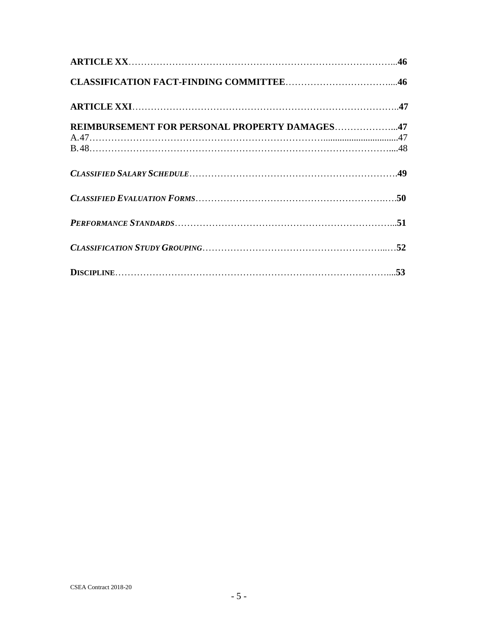<span id="page-4-0"></span>

| REIMBURSEMENT FOR PERSONAL PROPERTY DAMAGES47 |  |
|-----------------------------------------------|--|
|                                               |  |
|                                               |  |
|                                               |  |
|                                               |  |
|                                               |  |
|                                               |  |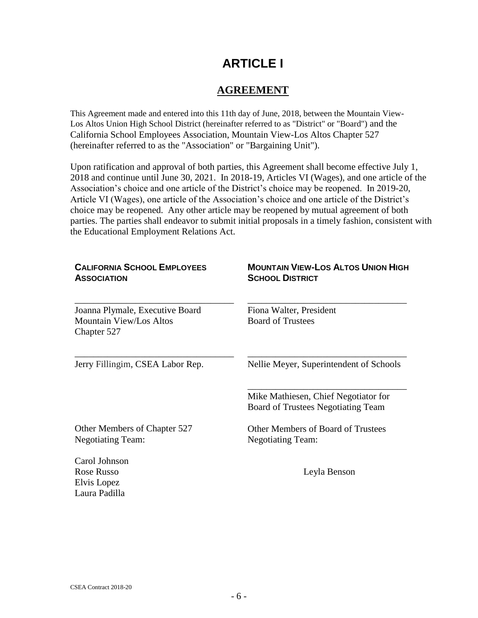## **ARTICLE I**

#### **AGREEMENT**

<span id="page-5-0"></span>This Agreement made and entered into this 11th day of June, 2018, between the Mountain View-Los Altos Union High School District (hereinafter referred to as "District" or "Board") and the California School Employees Association, Mountain View-Los Altos Chapter 527 (hereinafter referred to as the "Association" or "Bargaining Unit").

Upon ratification and approval of both parties, this Agreement shall become effective July 1, 2018 and continue until June 30, 2021. In 2018-19, Articles VI (Wages), and one article of the Association's choice and one article of the District's choice may be reopened. In 2019-20, Article VI (Wages), one article of the Association's choice and one article of the District's choice may be reopened. Any other article may be reopened by mutual agreement of both parties. The parties shall endeavor to submit initial proposals in a timely fashion, consistent with the Educational Employment Relations Act.

| <b>CALIFORNIA SCHOOL EMPLOYEES</b><br><b>ASSOCIATION</b>                         | <b>MOUNTAIN VIEW-LOS ALTOS UNION HIGH</b><br><b>SCHOOL DISTRICT</b>               |  |  |
|----------------------------------------------------------------------------------|-----------------------------------------------------------------------------------|--|--|
| Joanna Plymale, Executive Board<br><b>Mountain View/Los Altos</b><br>Chapter 527 | Fiona Walter, President<br><b>Board of Trustees</b>                               |  |  |
| Jerry Fillingim, CSEA Labor Rep.                                                 | Nellie Meyer, Superintendent of Schools                                           |  |  |
|                                                                                  | Mike Mathiesen, Chief Negotiator for<br><b>Board of Trustees Negotiating Team</b> |  |  |
| Other Members of Chapter 527<br><b>Negotiating Team:</b>                         | <b>Other Members of Board of Trustees</b><br><b>Negotiating Team:</b>             |  |  |
| Carol Johnson<br>Rose Russo<br>Elvis Lopez<br>Laura Padilla                      | Leyla Benson                                                                      |  |  |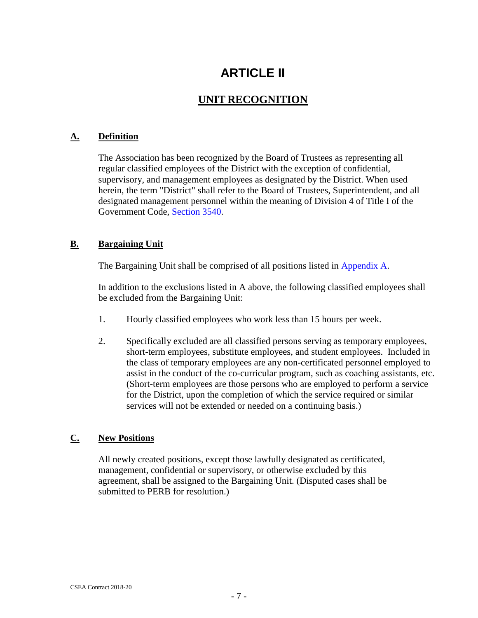## **ARTICLE II**

### **UNIT RECOGNITION**

#### <span id="page-6-2"></span><span id="page-6-1"></span><span id="page-6-0"></span>**A. Definition**

The Association has been recognized by the Board of Trustees as representing all regular classified employees of the District with the exception of confidential, supervisory, and management employees as designated by the District. When used herein, the term "District" shall refer to the Board of Trustees, Superintendent, and all designated management personnel within the meaning of Division 4 of Title I of the Government Code, [Section 3540.](http://www.leginfo.ca.gov/cgi-bin/displaycode?section=gov&group=03001-04000&file=3540-3540.2)

#### <span id="page-6-3"></span>**B. Bargaining Unit**

The Bargaining Unit shall be comprised of all positions listed in [Appendix A.](#page-48-1)

In addition to the exclusions listed in A above, the following classified employees shall be excluded from the Bargaining Unit:

- 1. Hourly classified employees who work less than 15 hours per week.
- 2. Specifically excluded are all classified persons serving as temporary employees, short-term employees, substitute employees, and student employees. Included in the class of temporary employees are any non-certificated personnel employed to assist in the conduct of the co-curricular program, such as coaching assistants, etc. (Short-term employees are those persons who are employed to perform a service for the District, upon the completion of which the service required or similar services will not be extended or needed on a continuing basis.)

#### <span id="page-6-4"></span>**C. New Positions**

All newly created positions, except those lawfully designated as certificated, management, confidential or supervisory, or otherwise excluded by this agreement, shall be assigned to the Bargaining Unit. (Disputed cases shall be submitted to PERB for resolution.)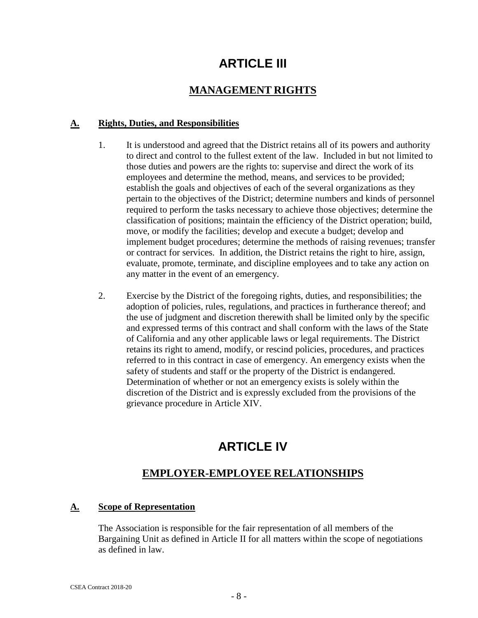## **ARTICLE III**

#### **MANAGEMENT RIGHTS**

#### <span id="page-7-1"></span><span id="page-7-0"></span>**A. Rights, Duties, and Responsibilities**

- 1. It is understood and agreed that the District retains all of its powers and authority to direct and control to the fullest extent of the law. Included in but not limited to those duties and powers are the rights to: supervise and direct the work of its employees and determine the method, means, and services to be provided; establish the goals and objectives of each of the several organizations as they pertain to the objectives of the District; determine numbers and kinds of personnel required to perform the tasks necessary to achieve those objectives; determine the classification of positions; maintain the efficiency of the District operation; build, move, or modify the facilities; develop and execute a budget; develop and implement budget procedures; determine the methods of raising revenues; transfer or contract for services. In addition, the District retains the right to hire, assign, evaluate, promote, terminate, and discipline employees and to take any action on any matter in the event of an emergency.
- 2. Exercise by the District of the foregoing rights, duties, and responsibilities; the adoption of policies, rules, regulations, and practices in furtherance thereof; and the use of judgment and discretion therewith shall be limited only by the specific and expressed terms of this contract and shall conform with the laws of the State of California and any other applicable laws or legal requirements. The District retains its right to amend, modify, or rescind policies, procedures, and practices referred to in this contract in case of emergency. An emergency exists when the safety of students and staff or the property of the District is endangered. Determination of whether or not an emergency exists is solely within the discretion of the District and is expressly excluded from the provisions of the grievance procedure in Article XIV.

## **ARTICLE IV**

### **EMPLOYER-EMPLOYEE RELATIONSHIPS**

#### <span id="page-7-4"></span><span id="page-7-3"></span><span id="page-7-2"></span>**A. Scope of Representation**

The Association is responsible for the fair representation of all members of the Bargaining Unit as defined in Article II for all matters within the scope of negotiations as defined in law.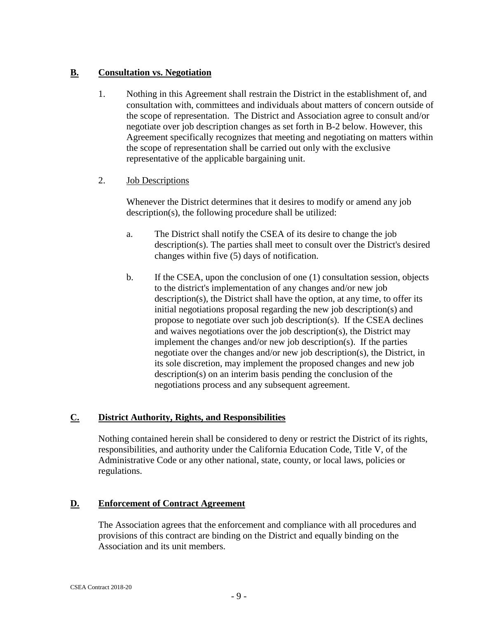#### <span id="page-8-0"></span>**B. Consultation vs. Negotiation**

1. Nothing in this Agreement shall restrain the District in the establishment of, and consultation with, committees and individuals about matters of concern outside of the scope of representation. The District and Association agree to consult and/or negotiate over job description changes as set forth in B-2 below. However, this Agreement specifically recognizes that meeting and negotiating on matters within the scope of representation shall be carried out only with the exclusive representative of the applicable bargaining unit.

#### 2. Job Descriptions

Whenever the District determines that it desires to modify or amend any job description(s), the following procedure shall be utilized:

- a. The District shall notify the CSEA of its desire to change the job description(s). The parties shall meet to consult over the District's desired changes within five (5) days of notification.
- b. If the CSEA, upon the conclusion of one (1) consultation session, objects to the district's implementation of any changes and/or new job description(s), the District shall have the option, at any time, to offer its initial negotiations proposal regarding the new job description(s) and propose to negotiate over such job description(s). If the CSEA declines and waives negotiations over the job description(s), the District may implement the changes and/or new job description(s). If the parties negotiate over the changes and/or new job description(s), the District, in its sole discretion, may implement the proposed changes and new job description(s) on an interim basis pending the conclusion of the negotiations process and any subsequent agreement.

#### <span id="page-8-1"></span>**C. District Authority, Rights, and Responsibilities**

Nothing contained herein shall be considered to deny or restrict the District of its rights, responsibilities, and authority under the California Education Code, Title V, of the Administrative Code or any other national, state, county, or local laws, policies or regulations.

#### <span id="page-8-2"></span>**D. Enforcement of Contract Agreement**

The Association agrees that the enforcement and compliance with all procedures and provisions of this contract are binding on the District and equally binding on the Association and its unit members.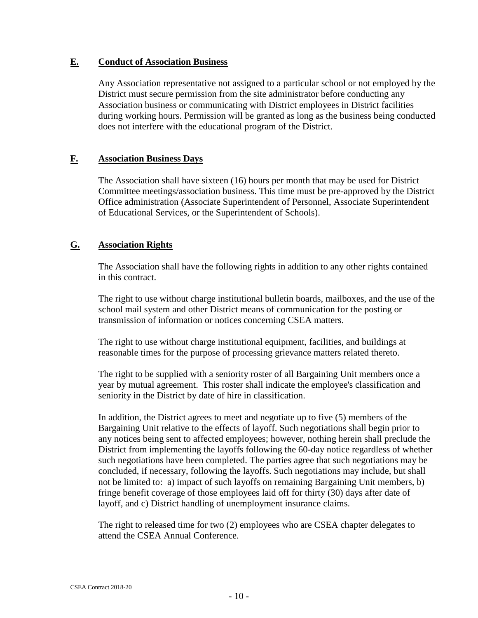#### <span id="page-9-0"></span>**E. Conduct of Association Business**

Any Association representative not assigned to a particular school or not employed by the District must secure permission from the site administrator before conducting any Association business or communicating with District employees in District facilities during working hours. Permission will be granted as long as the business being conducted does not interfere with the educational program of the District.

#### <span id="page-9-1"></span>**F. Association Business Days**

The Association shall have sixteen (16) hours per month that may be used for District Committee meetings/association business. This time must be pre-approved by the District Office administration (Associate Superintendent of Personnel, Associate Superintendent of Educational Services, or the Superintendent of Schools).

#### <span id="page-9-2"></span>**G. Association Rights**

The Association shall have the following rights in addition to any other rights contained in this contract.

The right to use without charge institutional bulletin boards, mailboxes, and the use of the school mail system and other District means of communication for the posting or transmission of information or notices concerning CSEA matters.

The right to use without charge institutional equipment, facilities, and buildings at reasonable times for the purpose of processing grievance matters related thereto.

The right to be supplied with a seniority roster of all Bargaining Unit members once a year by mutual agreement. This roster shall indicate the employee's classification and seniority in the District by date of hire in classification.

In addition, the District agrees to meet and negotiate up to five (5) members of the Bargaining Unit relative to the effects of layoff. Such negotiations shall begin prior to any notices being sent to affected employees; however, nothing herein shall preclude the District from implementing the layoffs following the 60-day notice regardless of whether such negotiations have been completed. The parties agree that such negotiations may be concluded, if necessary, following the layoffs. Such negotiations may include, but shall not be limited to: a) impact of such layoffs on remaining Bargaining Unit members, b) fringe benefit coverage of those employees laid off for thirty (30) days after date of layoff, and c) District handling of unemployment insurance claims.

The right to released time for two (2) employees who are CSEA chapter delegates to attend the CSEA Annual Conference.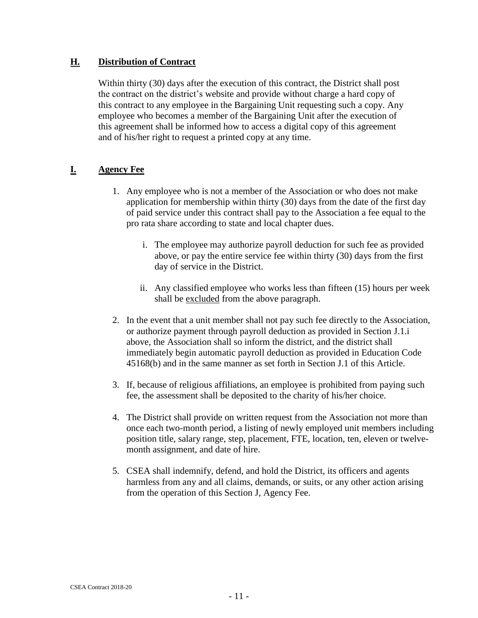#### <span id="page-10-0"></span>**H. Distribution of Contract**

Within thirty (30) days after the execution of this contract, the District shall post the contract on the district's website and provide without charge a hard copy of this contract to any employee in the Bargaining Unit requesting such a copy. Any employee who becomes a member of the Bargaining Unit after the execution of this agreement shall be informed how to access a digital copy of this agreement and of his/her right to request a printed copy at any time.

#### <span id="page-10-1"></span>**I. Agency Fee**

- 1. Any employee who is not a member of the Association or who does not make application for membership within thirty (30) days from the date of the first day of paid service under this contract shall pay to the Association a fee equal to the pro rata share according to state and local chapter dues.
	- i. The employee may authorize payroll deduction for such fee as provided above, or pay the entire service fee within thirty (30) days from the first day of service in the District.
	- ii. Any classified employee who works less than fifteen (15) hours per week shall be excluded from the above paragraph.
- 2. In the event that a unit member shall not pay such fee directly to the Association, or authorize payment through payroll deduction as provided in Section J.1.i above, the Association shall so inform the district, and the district shall immediately begin automatic payroll deduction as provided in Education Code 45168(b) and in the same manner as set forth in Section J.1 of this Article.
- 3. If, because of religious affiliations, an employee is prohibited from paying such fee, the assessment shall be deposited to the charity of his/her choice.
- 4. The District shall provide on written request from the Association not more than once each two-month period, a listing of newly employed unit members including position title, salary range, step, placement, FTE, location, ten, eleven or twelvemonth assignment, and date of hire.
- 5. CSEA shall indemnify, defend, and hold the District, its officers and agents harmless from any and all claims, demands, or suits, or any other action arising from the operation of this Section J, Agency Fee.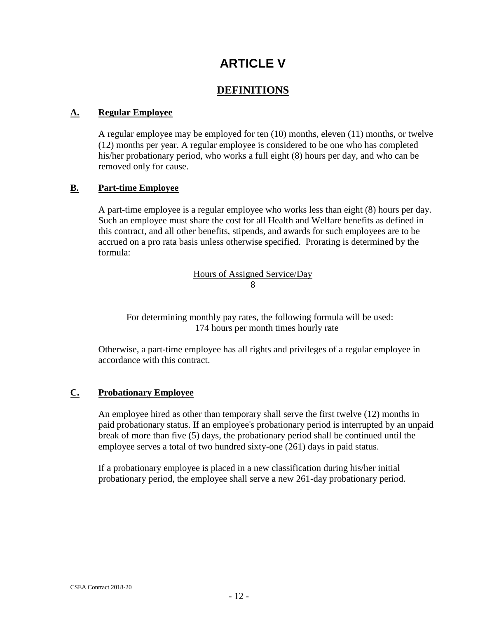## **ARTICLE V**

#### **DEFINITIONS**

#### <span id="page-11-2"></span><span id="page-11-1"></span><span id="page-11-0"></span>**A. Regular Employee**

A regular employee may be employed for ten (10) months, eleven (11) months, or twelve (12) months per year. A regular employee is considered to be one who has completed his/her probationary period, who works a full eight (8) hours per day, and who can be removed only for cause.

#### <span id="page-11-3"></span>**B. Part-time Employee**

A part-time employee is a regular employee who works less than eight (8) hours per day. Such an employee must share the cost for all Health and Welfare benefits as defined in this contract, and all other benefits, stipends, and awards for such employees are to be accrued on a pro rata basis unless otherwise specified. Prorating is determined by the formula:

> Hours of Assigned Service/Day 8

For determining monthly pay rates, the following formula will be used: 174 hours per month times hourly rate

Otherwise, a part-time employee has all rights and privileges of a regular employee in accordance with this contract.

#### <span id="page-11-4"></span>**C. Probationary Employee**

An employee hired as other than temporary shall serve the first twelve (12) months in paid probationary status. If an employee's probationary period is interrupted by an unpaid break of more than five (5) days, the probationary period shall be continued until the employee serves a total of two hundred sixty-one (261) days in paid status.

<span id="page-11-5"></span>If a probationary employee is placed in a new classification during his/her initial probationary period, the employee shall serve a new 261-day probationary period.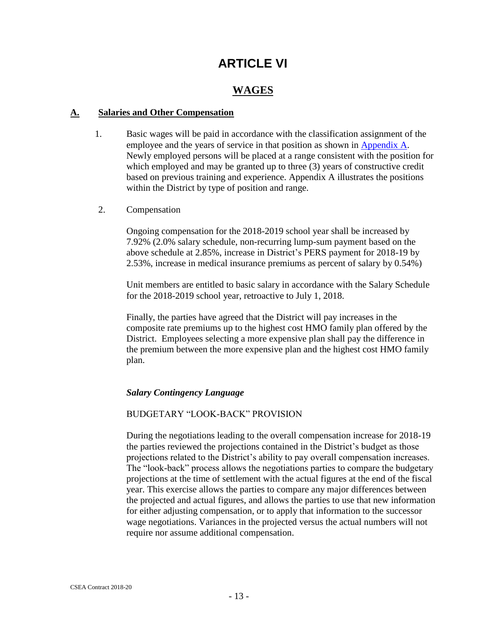## **ARTICLE VI**

#### **WAGES**

#### <span id="page-12-1"></span><span id="page-12-0"></span>**A. Salaries and Other Compensation**

- 1. Basic wages will be paid in accordance with the classification assignment of the employee and the years of service in that position as shown in [Appendix A.](#page-48-1) Newly employed persons will be placed at a range consistent with the position for which employed and may be granted up to three (3) years of constructive credit based on previous training and experience. Appendix A illustrates the positions within the District by type of position and range.
- 2. Compensation

Ongoing compensation for the 2018-2019 school year shall be increased by 7.92% (2.0% salary schedule, non-recurring lump-sum payment based on the above schedule at 2.85%, increase in District's PERS payment for 2018-19 by 2.53%, increase in medical insurance premiums as percent of salary by 0.54%)

Unit members are entitled to basic salary in accordance with the Salary Schedule for the 2018-2019 school year, retroactive to July 1, 2018.

Finally, the parties have agreed that the District will pay increases in the composite rate premiums up to the highest cost HMO family plan offered by the District. Employees selecting a more expensive plan shall pay the difference in the premium between the more expensive plan and the highest cost HMO family plan.

#### *Salary Contingency Language*

#### BUDGETARY "LOOK-BACK" PROVISION

During the negotiations leading to the overall compensation increase for 2018-19 the parties reviewed the projections contained in the District's budget as those projections related to the District's ability to pay overall compensation increases. The "look-back" process allows the negotiations parties to compare the budgetary projections at the time of settlement with the actual figures at the end of the fiscal year. This exercise allows the parties to compare any major differences between the projected and actual figures, and allows the parties to use that new information for either adjusting compensation, or to apply that information to the successor wage negotiations. Variances in the projected versus the actual numbers will not require nor assume additional compensation.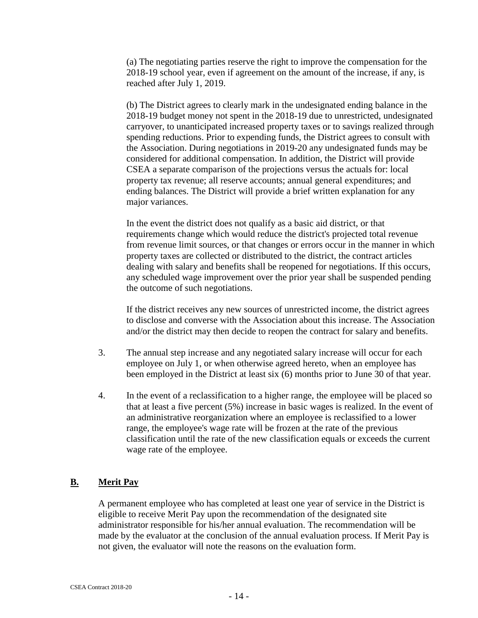(a) The negotiating parties reserve the right to improve the compensation for the 2018-19 school year, even if agreement on the amount of the increase, if any, is reached after July 1, 2019.

(b) The District agrees to clearly mark in the undesignated ending balance in the 2018-19 budget money not spent in the 2018-19 due to unrestricted, undesignated carryover, to unanticipated increased property taxes or to savings realized through spending reductions. Prior to expending funds, the District agrees to consult with the Association. During negotiations in 2019-20 any undesignated funds may be considered for additional compensation. In addition, the District will provide CSEA a separate comparison of the projections versus the actuals for: local property tax revenue; all reserve accounts; annual general expenditures; and ending balances. The District will provide a brief written explanation for any major variances.

In the event the district does not qualify as a basic aid district, or that requirements change which would reduce the district's projected total revenue from revenue limit sources, or that changes or errors occur in the manner in which property taxes are collected or distributed to the district, the contract articles dealing with salary and benefits shall be reopened for negotiations. If this occurs, any scheduled wage improvement over the prior year shall be suspended pending the outcome of such negotiations.

If the district receives any new sources of unrestricted income, the district agrees to disclose and converse with the Association about this increase. The Association and/or the district may then decide to reopen the contract for salary and benefits.

- 3. The annual step increase and any negotiated salary increase will occur for each employee on July 1, or when otherwise agreed hereto, when an employee has been employed in the District at least six (6) months prior to June 30 of that year.
- 4. In the event of a reclassification to a higher range, the employee will be placed so that at least a five percent (5%) increase in basic wages is realized. In the event of an administrative reorganization where an employee is reclassified to a lower range, the employee's wage rate will be frozen at the rate of the previous classification until the rate of the new classification equals or exceeds the current wage rate of the employee.

#### <span id="page-13-0"></span>**B. Merit Pay**

A permanent employee who has completed at least one year of service in the District is eligible to receive Merit Pay upon the recommendation of the designated site administrator responsible for his/her annual evaluation. The recommendation will be made by the evaluator at the conclusion of the annual evaluation process. If Merit Pay is not given, the evaluator will note the reasons on the evaluation form.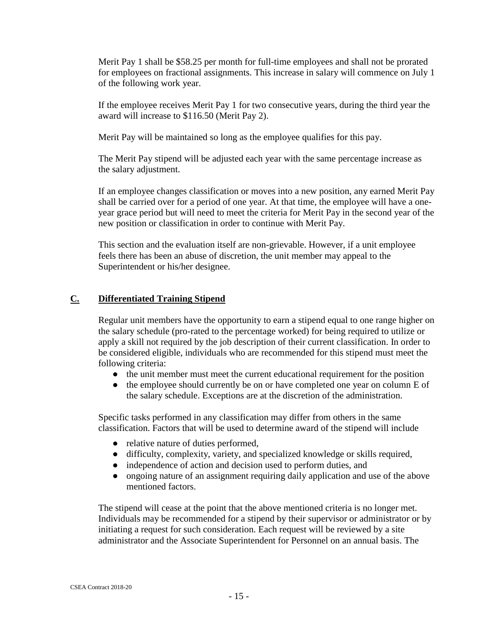Merit Pay 1 shall be \$58.25 per month for full-time employees and shall not be prorated for employees on fractional assignments. This increase in salary will commence on July 1 of the following work year.

If the employee receives Merit Pay 1 for two consecutive years, during the third year the award will increase to \$116.50 (Merit Pay 2).

Merit Pay will be maintained so long as the employee qualifies for this pay.

The Merit Pay stipend will be adjusted each year with the same percentage increase as the salary adjustment.

If an employee changes classification or moves into a new position, any earned Merit Pay shall be carried over for a period of one year. At that time, the employee will have a oneyear grace period but will need to meet the criteria for Merit Pay in the second year of the new position or classification in order to continue with Merit Pay.

This section and the evaluation itself are non-grievable. However, if a unit employee feels there has been an abuse of discretion, the unit member may appeal to the Superintendent or his/her designee.

#### **C. Differentiated Training Stipend**

Regular unit members have the opportunity to earn a stipend equal to one range higher on the salary schedule (pro-rated to the percentage worked) for being required to utilize or apply a skill not required by the job description of their current classification. In order to be considered eligible, individuals who are recommended for this stipend must meet the following criteria:

- the unit member must meet the current educational requirement for the position
- the employee should currently be on or have completed one year on column E of the salary schedule. Exceptions are at the discretion of the administration.

Specific tasks performed in any classification may differ from others in the same classification. Factors that will be used to determine award of the stipend will include

- relative nature of duties performed,
- difficulty, complexity, variety, and specialized knowledge or skills required,
- independence of action and decision used to perform duties, and
- ongoing nature of an assignment requiring daily application and use of the above mentioned factors.

The stipend will cease at the point that the above mentioned criteria is no longer met. Individuals may be recommended for a stipend by their supervisor or administrator or by initiating a request for such consideration. Each request will be reviewed by a site administrator and the Associate Superintendent for Personnel on an annual basis. The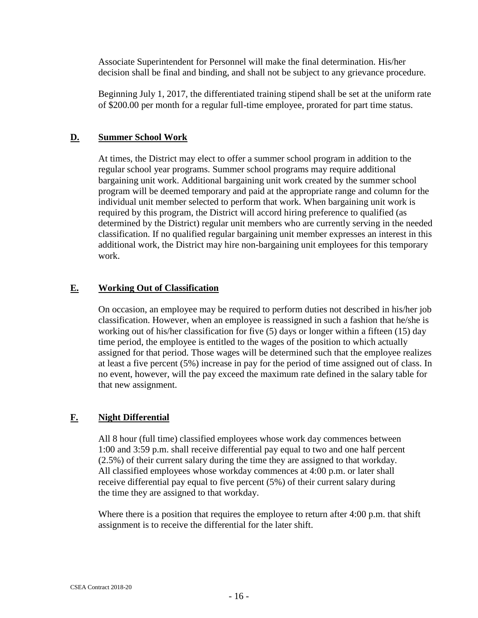Associate Superintendent for Personnel will make the final determination. His/her decision shall be final and binding, and shall not be subject to any grievance procedure.

Beginning July 1, 2017, the differentiated training stipend shall be set at the uniform rate of \$200.00 per month for a regular full-time employee, prorated for part time status.

#### <span id="page-15-0"></span>**D. Summer School Work**

At times, the District may elect to offer a summer school program in addition to the regular school year programs. Summer school programs may require additional bargaining unit work. Additional bargaining unit work created by the summer school program will be deemed temporary and paid at the appropriate range and column for the individual unit member selected to perform that work. When bargaining unit work is required by this program, the District will accord hiring preference to qualified (as determined by the District) regular unit members who are currently serving in the needed classification. If no qualified regular bargaining unit member expresses an interest in this additional work, the District may hire non-bargaining unit employees for this temporary work.

#### <span id="page-15-1"></span>**E. Working Out of Classification**

On occasion, an employee may be required to perform duties not described in his/her job classification. However, when an employee is reassigned in such a fashion that he/she is working out of his/her classification for five (5) days or longer within a fifteen (15) day time period, the employee is entitled to the wages of the position to which actually assigned for that period. Those wages will be determined such that the employee realizes at least a five percent (5%) increase in pay for the period of time assigned out of class. In no event, however, will the pay exceed the maximum rate defined in the salary table for that new assignment.

#### <span id="page-15-2"></span>**F. Night Differential**

All 8 hour (full time) classified employees whose work day commences between 1:00 and 3:59 p.m. shall receive differential pay equal to two and one half percent (2.5%) of their current salary during the time they are assigned to that workday. All classified employees whose workday commences at 4:00 p.m. or later shall receive differential pay equal to five percent (5%) of their current salary during the time they are assigned to that workday.

<span id="page-15-3"></span>Where there is a position that requires the employee to return after 4:00 p.m. that shift assignment is to receive the differential for the later shift.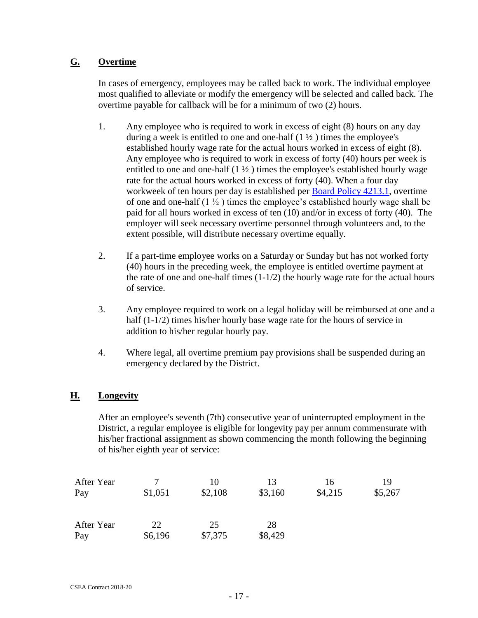#### **G. Overtime**

In cases of emergency, employees may be called back to work. The individual employee most qualified to alleviate or modify the emergency will be selected and called back. The overtime payable for callback will be for a minimum of two (2) hours.

- 1. Any employee who is required to work in excess of eight (8) hours on any day during a week is entitled to one and one-half  $(1 \frac{1}{2})$  times the employee's established hourly wage rate for the actual hours worked in excess of eight (8). Any employee who is required to work in excess of forty (40) hours per week is entitled to one and one-half  $(1 \frac{1}{2})$  times the employee's established hourly wage rate for the actual hours worked in excess of forty (40). When a four day workweek of ten hours per day is established per Board [Policy 4213.1,](http://www.gamutonline.net/district/mountainviewlosaltos/DisplayPolicy/221748/4) overtime of one and one-half (1 ½ ) times the employee's established hourly wage shall be paid for all hours worked in excess of ten (10) and/or in excess of forty (40). The employer will seek necessary overtime personnel through volunteers and, to the extent possible, will distribute necessary overtime equally.
- 2. If a part-time employee works on a Saturday or Sunday but has not worked forty (40) hours in the preceding week, the employee is entitled overtime payment at the rate of one and one-half times  $(1-1/2)$  the hourly wage rate for the actual hours of service.
- 3. Any employee required to work on a legal holiday will be reimbursed at one and a half (1-1/2) times his/her hourly base wage rate for the hours of service in addition to his/her regular hourly pay.
- 4. Where legal, all overtime premium pay provisions shall be suspended during an emergency declared by the District.

#### <span id="page-16-0"></span>**H. Longevity**

After an employee's seventh (7th) consecutive year of uninterrupted employment in the District, a regular employee is eligible for longevity pay per annum commensurate with his/her fractional assignment as shown commencing the month following the beginning of his/her eighth year of service:

| After Year |         | 10      | 13      | 16      | 19      |
|------------|---------|---------|---------|---------|---------|
| Pay        | \$1,051 | \$2,108 | \$3,160 | \$4,215 | \$5,267 |
| After Year | 22      | 25      | 28      |         |         |
| Pay        | \$6,196 | \$7,375 | \$8,429 |         |         |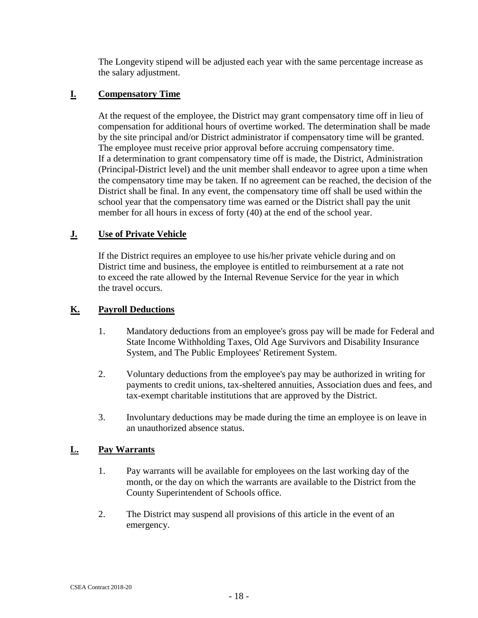The Longevity stipend will be adjusted each year with the same percentage increase as the salary adjustment.

#### <span id="page-17-0"></span>**I. Compensatory Time**

At the request of the employee, the District may grant compensatory time off in lieu of compensation for additional hours of overtime worked. The determination shall be made by the site principal and/or District administrator if compensatory time will be granted. The employee must receive prior approval before accruing compensatory time. If a determination to grant compensatory time off is made, the District, Administration (Principal-District level) and the unit member shall endeavor to agree upon a time when the compensatory time may be taken. If no agreement can be reached, the decision of the District shall be final. In any event, the compensatory time off shall be used within the school year that the compensatory time was earned or the District shall pay the unit member for all hours in excess of forty (40) at the end of the school year.

#### <span id="page-17-1"></span>**J. Use of Private Vehicle**

If the District requires an employee to use his/her private vehicle during and on District time and business, the employee is entitled to reimbursement at a rate not to exceed the rate allowed by the Internal Revenue Service for the year in which the travel occurs.

#### <span id="page-17-2"></span>**K. Payroll Deductions**

- 1. Mandatory deductions from an employee's gross pay will be made for Federal and State Income Withholding Taxes, Old Age Survivors and Disability Insurance System, and The Public Employees' Retirement System.
- 2. Voluntary deductions from the employee's pay may be authorized in writing for payments to credit unions, tax-sheltered annuities, Association dues and fees, and tax-exempt charitable institutions that are approved by the District.
- 3. Involuntary deductions may be made during the time an employee is on leave in an unauthorized absence status.

#### <span id="page-17-3"></span>**L. Pay Warrants**

- 1. Pay warrants will be available for employees on the last working day of the month, or the day on which the warrants are available to the District from the County Superintendent of Schools office.
- 2. The District may suspend all provisions of this article in the event of an emergency.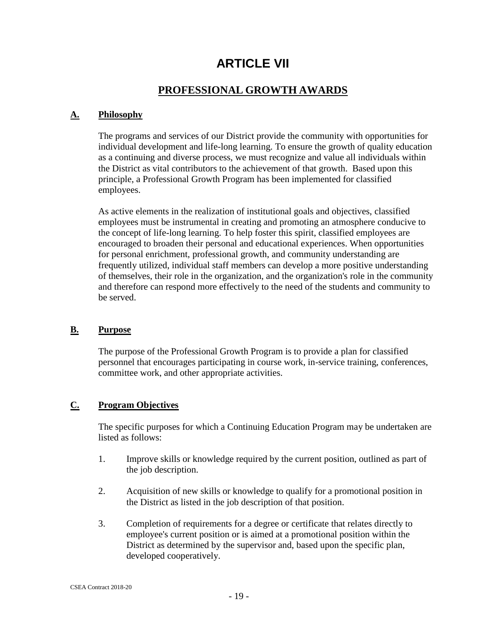## **ARTICLE VII**

#### **PROFESSIONAL GROWTH AWARDS**

#### <span id="page-18-2"></span><span id="page-18-1"></span><span id="page-18-0"></span>**A. Philosophy**

The programs and services of our District provide the community with opportunities for individual development and life-long learning. To ensure the growth of quality education as a continuing and diverse process, we must recognize and value all individuals within the District as vital contributors to the achievement of that growth. Based upon this principle, a Professional Growth Program has been implemented for classified employees.

As active elements in the realization of institutional goals and objectives, classified employees must be instrumental in creating and promoting an atmosphere conducive to the concept of life-long learning. To help foster this spirit, classified employees are encouraged to broaden their personal and educational experiences. When opportunities for personal enrichment, professional growth, and community understanding are frequently utilized, individual staff members can develop a more positive understanding of themselves, their role in the organization, and the organization's role in the community and therefore can respond more effectively to the need of the students and community to be served.

#### <span id="page-18-3"></span>**B. Purpose**

The purpose of the Professional Growth Program is to provide a plan for classified personnel that encourages participating in course work, in-service training, conferences, committee work, and other appropriate activities.

#### <span id="page-18-4"></span>**C. Program Objectives**

The specific purposes for which a Continuing Education Program may be undertaken are listed as follows:

- 1. Improve skills or knowledge required by the current position, outlined as part of the job description.
- 2. Acquisition of new skills or knowledge to qualify for a promotional position in the District as listed in the job description of that position.
- 3. Completion of requirements for a degree or certificate that relates directly to employee's current position or is aimed at a promotional position within the District as determined by the supervisor and, based upon the specific plan, developed cooperatively.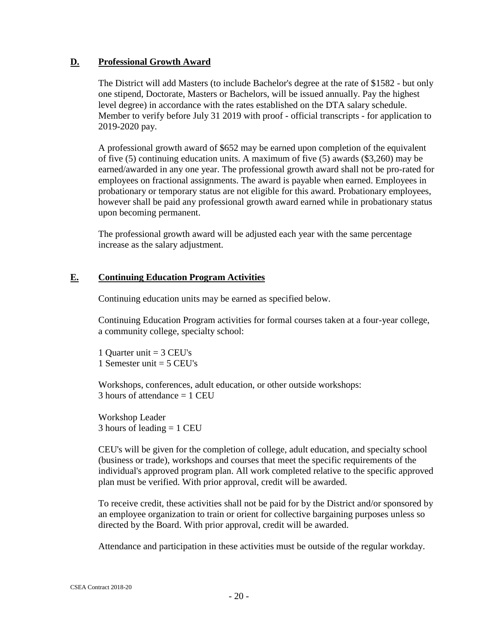#### <span id="page-19-0"></span>**D. Professional Growth Award**

The District will add Masters (to include Bachelor's degree at the rate of \$1582 - but only one stipend, Doctorate, Masters or Bachelors, will be issued annually. Pay the highest level degree) in accordance with the rates established on the DTA salary schedule. Member to verify before July 31 2019 with proof - official transcripts - for application to 2019-2020 pay.

A professional growth award of \$652 may be earned upon completion of the equivalent of five (5) continuing education units. A maximum of five (5) awards (\$3,260) may be earned/awarded in any one year. The professional growth award shall not be pro-rated for employees on fractional assignments. The award is payable when earned. Employees in probationary or temporary status are not eligible for this award. Probationary employees, however shall be paid any professional growth award earned while in probationary status upon becoming permanent.

The professional growth award will be adjusted each year with the same percentage increase as the salary adjustment.

#### <span id="page-19-1"></span>**E. Continuing Education Program Activities**

Continuing education units may be earned as specified below.

Continuing Education Program activities for formal courses taken at a four-year college, a community college, specialty school:

1 Quarter unit = 3 CEU's 1 Semester unit  $=$  5 CEU's

Workshops, conferences, adult education, or other outside workshops:  $3$  hours of attendance  $= 1$  CEU

Workshop Leader 3 hours of leading = 1 CEU

CEU's will be given for the completion of college, adult education, and specialty school (business or trade), workshops and courses that meet the specific requirements of the individual's approved program plan. All work completed relative to the specific approved plan must be verified. With prior approval, credit will be awarded.

To receive credit, these activities shall not be paid for by the District and/or sponsored by an employee organization to train or orient for collective bargaining purposes unless so directed by the Board. With prior approval, credit will be awarded.

Attendance and participation in these activities must be outside of the regular workday.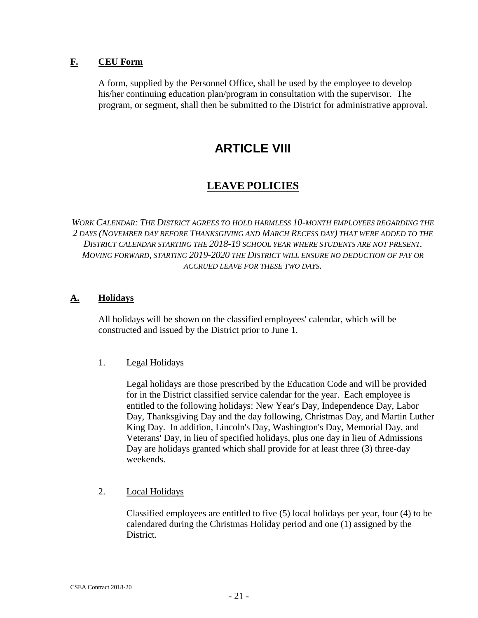#### <span id="page-20-0"></span>**F. CEU Form**

<span id="page-20-1"></span>A form, supplied by the Personnel Office, shall be used by the employee to develop his/her continuing education plan/program in consultation with the supervisor. The program, or segment, shall then be submitted to the District for administrative approval.

## **ARTICLE VIII**

### **LEAVE POLICIES**

<span id="page-20-2"></span>*WORK CALENDAR: THE DISTRICT AGREES TO HOLD HARMLESS 10-MONTH EMPLOYEES REGARDING THE 2 DAYS (NOVEMBER DAY BEFORE THANKSGIVING AND MARCH RECESS DAY) THAT WERE ADDED TO THE DISTRICT CALENDAR STARTING THE 2018-19 SCHOOL YEAR WHERE STUDENTS ARE NOT PRESENT. MOVING FORWARD, STARTING 2019-2020 THE DISTRICT WILL ENSURE NO DEDUCTION OF PAY OR ACCRUED LEAVE FOR THESE TWO DAYS.*

#### <span id="page-20-3"></span>**A. Holidays**

All holidays will be shown on the classified employees' calendar, which will be constructed and issued by the District prior to June 1.

#### 1. Legal Holidays

Legal holidays are those prescribed by the Education Code and will be provided for in the District classified service calendar for the year. Each employee is entitled to the following holidays: New Year's Day, Independence Day, Labor Day, Thanksgiving Day and the day following, Christmas Day, and Martin Luther King Day. In addition, Lincoln's Day, Washington's Day, Memorial Day, and Veterans' Day, in lieu of specified holidays, plus one day in lieu of Admissions Day are holidays granted which shall provide for at least three (3) three-day weekends.

#### 2. Local Holidays

Classified employees are entitled to five (5) local holidays per year, four (4) to be calendared during the Christmas Holiday period and one (1) assigned by the District.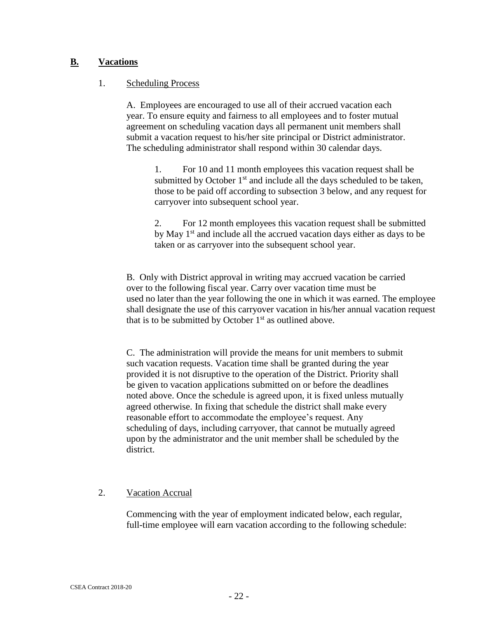#### <span id="page-21-0"></span>**B. Vacations**

#### 1. Scheduling Process

A. Employees are encouraged to use all of their accrued vacation each year. To ensure equity and fairness to all employees and to foster mutual agreement on scheduling vacation days all permanent unit members shall submit a vacation request to his/her site principal or District administrator. The scheduling administrator shall respond within 30 calendar days.

1. For 10 and 11 month employees this vacation request shall be submitted by October  $1<sup>st</sup>$  and include all the days scheduled to be taken, those to be paid off according to subsection 3 below, and any request for carryover into subsequent school year.

2. For 12 month employees this vacation request shall be submitted by May  $1<sup>st</sup>$  and include all the accrued vacation days either as days to be taken or as carryover into the subsequent school year.

B. Only with District approval in writing may accrued vacation be carried over to the following fiscal year. Carry over vacation time must be used no later than the year following the one in which it was earned. The employee shall designate the use of this carryover vacation in his/her annual vacation request that is to be submitted by October  $1<sup>st</sup>$  as outlined above.

C. The administration will provide the means for unit members to submit such vacation requests. Vacation time shall be granted during the year provided it is not disruptive to the operation of the District. Priority shall be given to vacation applications submitted on or before the deadlines noted above. Once the schedule is agreed upon, it is fixed unless mutually agreed otherwise. In fixing that schedule the district shall make every reasonable effort to accommodate the employee's request. Any scheduling of days, including carryover, that cannot be mutually agreed upon by the administrator and the unit member shall be scheduled by the district.

#### 2. Vacation Accrual

Commencing with the year of employment indicated below, each regular, full-time employee will earn vacation according to the following schedule: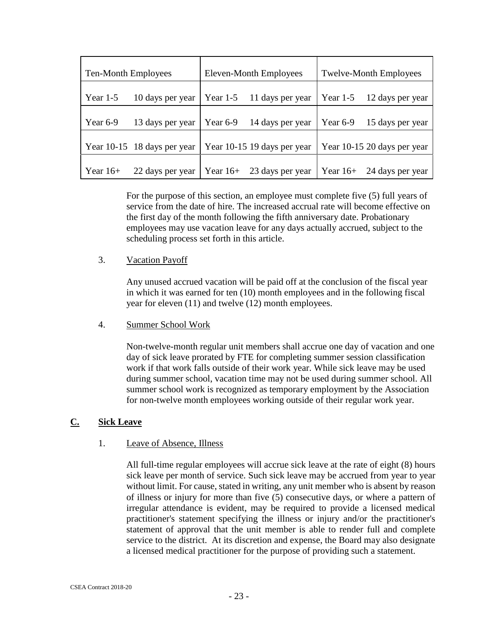|            | Eleven-Month Employees<br>Ten-Month Employees |                             | <b>Twelve-Month Employees</b> |            |                             |
|------------|-----------------------------------------------|-----------------------------|-------------------------------|------------|-----------------------------|
| Year $1-5$ | 10 days per year                              | Year $1-5$                  | 11 days per year              | Year $1-5$ | 12 days per year            |
| Year $6-9$ | 13 days per year                              | Year $6-9$                  | 14 days per year              | Year 6-9   | 15 days per year            |
|            | Year 10-15 18 days per year                   | Year 10-15 19 days per year |                               |            | Year 10-15 20 days per year |
| Year $16+$ | 22 days per year                              | Year $16+$                  | 23 days per year              | Year $16+$ | 24 days per year            |

For the purpose of this section, an employee must complete five (5) full years of service from the date of hire. The increased accrual rate will become effective on the first day of the month following the fifth anniversary date. Probationary employees may use vacation leave for any days actually accrued, subject to the scheduling process set forth in this article.

#### 3. Vacation Payoff

Any unused accrued vacation will be paid off at the conclusion of the fiscal year in which it was earned for ten (10) month employees and in the following fiscal year for eleven (11) and twelve (12) month employees.

#### 4. Summer School Work

Non-twelve-month regular unit members shall accrue one day of vacation and one day of sick leave prorated by FTE for completing summer session classification work if that work falls outside of their work year. While sick leave may be used during summer school, vacation time may not be used during summer school. All summer school work is recognized as temporary employment by the Association for non-twelve month employees working outside of their regular work year.

#### <span id="page-22-0"></span>**C. Sick Leave**

#### 1. Leave of Absence, Illness

All full-time regular employees will accrue sick leave at the rate of eight (8) hours sick leave per month of service. Such sick leave may be accrued from year to year without limit. For cause, stated in writing, any unit member who is absent by reason of illness or injury for more than five (5) consecutive days, or where a pattern of irregular attendance is evident, may be required to provide a licensed medical practitioner's statement specifying the illness or injury and/or the practitioner's statement of approval that the unit member is able to render full and complete service to the district. At its discretion and expense, the Board may also designate a licensed medical practitioner for the purpose of providing such a statement.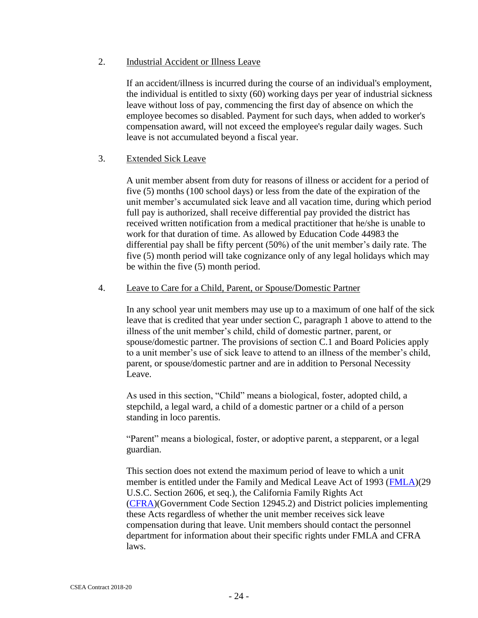#### 2. Industrial Accident or Illness Leave

If an accident/illness is incurred during the course of an individual's employment, the individual is entitled to sixty (60) working days per year of industrial sickness leave without loss of pay, commencing the first day of absence on which the employee becomes so disabled. Payment for such days, when added to worker's compensation award, will not exceed the employee's regular daily wages. Such leave is not accumulated beyond a fiscal year.

#### 3. Extended Sick Leave

A unit member absent from duty for reasons of illness or accident for a period of five (5) months (100 school days) or less from the date of the expiration of the unit member's accumulated sick leave and all vacation time, during which period full pay is authorized, shall receive differential pay provided the district has received written notification from a medical practitioner that he/she is unable to work for that duration of time. As allowed by Education Code 44983 the differential pay shall be fifty percent (50%) of the unit member's daily rate. The five (5) month period will take cognizance only of any legal holidays which may be within the five (5) month period.

#### 4. Leave to Care for a Child, Parent, or Spouse/Domestic Partner

In any school year unit members may use up to a maximum of one half of the sick leave that is credited that year under section C, paragraph 1 above to attend to the illness of the unit member's child, child of domestic partner, parent, or spouse/domestic partner. The provisions of section C.1 and Board Policies apply to a unit member's use of sick leave to attend to an illness of the member's child, parent, or spouse/domestic partner and are in addition to Personal Necessity Leave.

As used in this section, "Child" means a biological, foster, adopted child, a stepchild, a legal ward, a child of a domestic partner or a child of a person standing in loco parentis.

"Parent" means a biological, foster, or adoptive parent, a stepparent, or a legal guardian.

This section does not extend the maximum period of leave to which a unit member is entitled under the Family and Medical Leave Act of 1993 [\(FMLA\)](http://www.mvla.net/sites/Staff/Staff%20Documents%20and%20Forms/Health%20and%20Welfare/FMLA%20Employee%20Guide.pdf)(29 U.S.C. Section 2606, et seq.), the California Family Rights Act [\(CFRA\)](http://www.dfeh.ca.gov/Publications_CFRADefined.htm)(Government Code Section 12945.2) and District policies implementing these Acts regardless of whether the unit member receives sick leave compensation during that leave. Unit members should contact the personnel department for information about their specific rights under FMLA and CFRA laws.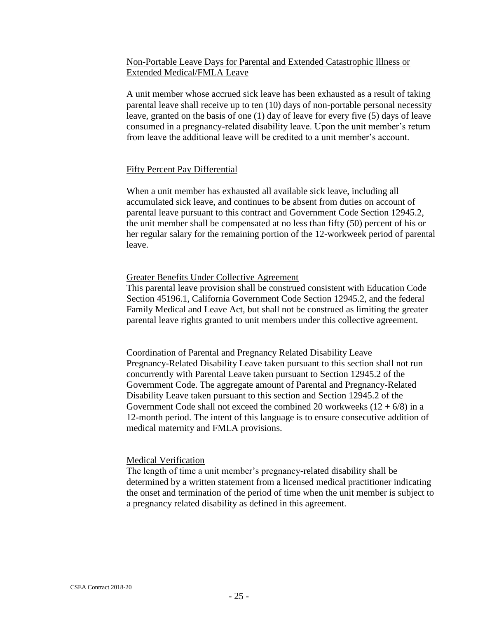#### Non-Portable Leave Days for Parental and Extended Catastrophic Illness or Extended Medical/FMLA Leave

A unit member whose accrued sick leave has been exhausted as a result of taking parental leave shall receive up to ten (10) days of non-portable personal necessity leave, granted on the basis of one (1) day of leave for every five (5) days of leave consumed in a pregnancy-related disability leave. Upon the unit member's return from leave the additional leave will be credited to a unit member's account.

#### Fifty Percent Pay Differential

When a unit member has exhausted all available sick leave, including all accumulated sick leave, and continues to be absent from duties on account of parental leave pursuant to this contract and Government Code Section 12945.2, the unit member shall be compensated at no less than fifty (50) percent of his or her regular salary for the remaining portion of the 12-workweek period of parental leave.

#### Greater Benefits Under Collective Agreement

This parental leave provision shall be construed consistent with Education Code Section 45196.1, California Government Code Section 12945.2, and the federal Family Medical and Leave Act, but shall not be construed as limiting the greater parental leave rights granted to unit members under this collective agreement.

Coordination of Parental and Pregnancy Related Disability Leave Pregnancy-Related Disability Leave taken pursuant to this section shall not run concurrently with Parental Leave taken pursuant to Section 12945.2 of the Government Code. The aggregate amount of Parental and Pregnancy-Related Disability Leave taken pursuant to this section and Section 12945.2 of the Government Code shall not exceed the combined 20 workweeks  $(12 + 6/8)$  in a 12-month period. The intent of this language is to ensure consecutive addition of medical maternity and FMLA provisions.

#### Medical Verification

The length of time a unit member's pregnancy-related disability shall be determined by a written statement from a licensed medical practitioner indicating the onset and termination of the period of time when the unit member is subject to a pregnancy related disability as defined in this agreement.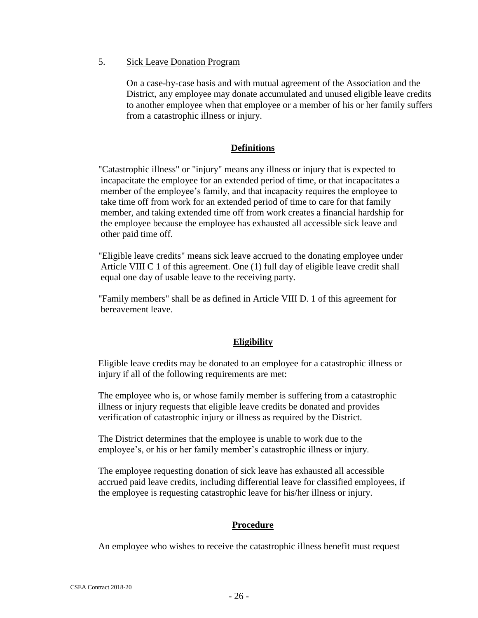#### 5. Sick Leave Donation Program

On a case-by-case basis and with mutual agreement of the Association and the District, any employee may donate accumulated and unused eligible leave credits to another employee when that employee or a member of his or her family suffers from a catastrophic illness or injury.

#### **Definitions**

"Catastrophic illness" or "injury" means any illness or injury that is expected to incapacitate the employee for an extended period of time, or that incapacitates a member of the employee's family, and that incapacity requires the employee to take time off from work for an extended period of time to care for that family member, and taking extended time off from work creates a financial hardship for the employee because the employee has exhausted all accessible sick leave and other paid time off.

"Eligible leave credits" means sick leave accrued to the donating employee under Article VIII C 1 of this agreement. One (1) full day of eligible leave credit shall equal one day of usable leave to the receiving party.

"Family members" shall be as defined in Article VIII D. 1 of this agreement for bereavement leave.

#### **Eligibility**

Eligible leave credits may be donated to an employee for a catastrophic illness or injury if all of the following requirements are met:

The employee who is, or whose family member is suffering from a catastrophic illness or injury requests that eligible leave credits be donated and provides verification of catastrophic injury or illness as required by the District.

The District determines that the employee is unable to work due to the employee's, or his or her family member's catastrophic illness or injury.

The employee requesting donation of sick leave has exhausted all accessible accrued paid leave credits, including differential leave for classified employees, if the employee is requesting catastrophic leave for his/her illness or injury.

#### **Procedure**

An employee who wishes to receive the catastrophic illness benefit must request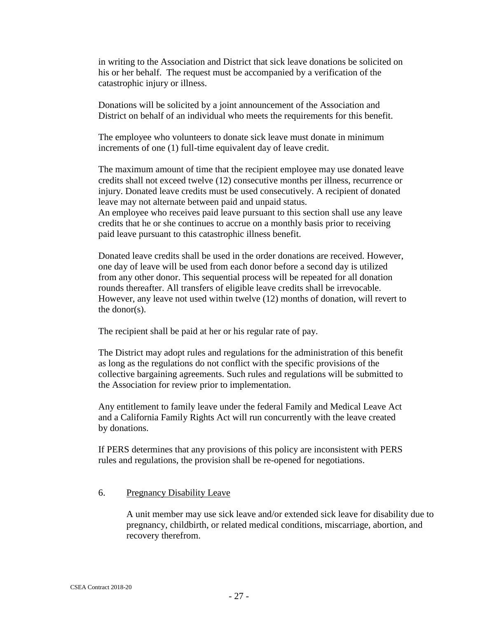in writing to the Association and District that sick leave donations be solicited on his or her behalf. The request must be accompanied by a verification of the catastrophic injury or illness.

Donations will be solicited by a joint announcement of the Association and District on behalf of an individual who meets the requirements for this benefit.

The employee who volunteers to donate sick leave must donate in minimum increments of one (1) full-time equivalent day of leave credit.

The maximum amount of time that the recipient employee may use donated leave credits shall not exceed twelve (12) consecutive months per illness, recurrence or injury. Donated leave credits must be used consecutively. A recipient of donated leave may not alternate between paid and unpaid status. An employee who receives paid leave pursuant to this section shall use any leave

credits that he or she continues to accrue on a monthly basis prior to receiving paid leave pursuant to this catastrophic illness benefit.

Donated leave credits shall be used in the order donations are received. However, one day of leave will be used from each donor before a second day is utilized from any other donor. This sequential process will be repeated for all donation rounds thereafter. All transfers of eligible leave credits shall be irrevocable. However, any leave not used within twelve (12) months of donation, will revert to the donor(s).

The recipient shall be paid at her or his regular rate of pay.

The District may adopt rules and regulations for the administration of this benefit as long as the regulations do not conflict with the specific provisions of the collective bargaining agreements. Such rules and regulations will be submitted to the Association for review prior to implementation.

Any entitlement to family leave under the federal Family and Medical Leave Act and a California Family Rights Act will run concurrently with the leave created by donations.

If PERS determines that any provisions of this policy are inconsistent with PERS rules and regulations, the provision shall be re-opened for negotiations.

#### 6. Pregnancy Disability Leave

A unit member may use sick leave and/or extended sick leave for disability due to pregnancy, childbirth, or related medical conditions, miscarriage, abortion, and recovery therefrom.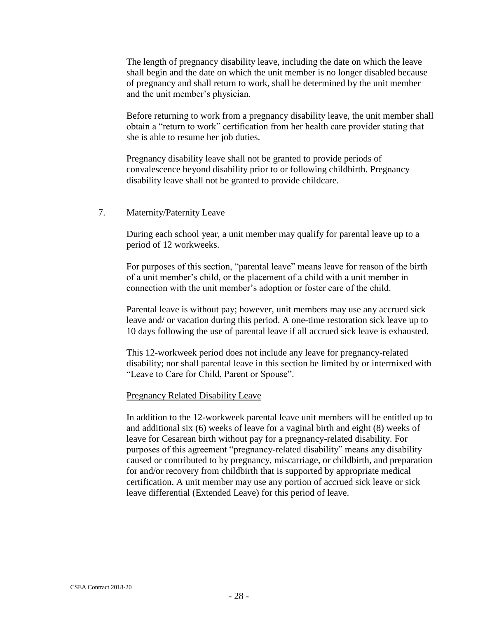The length of pregnancy disability leave, including the date on which the leave shall begin and the date on which the unit member is no longer disabled because of pregnancy and shall return to work, shall be determined by the unit member and the unit member's physician.

Before returning to work from a pregnancy disability leave, the unit member shall obtain a "return to work" certification from her health care provider stating that she is able to resume her job duties.

Pregnancy disability leave shall not be granted to provide periods of convalescence beyond disability prior to or following childbirth. Pregnancy disability leave shall not be granted to provide childcare.

#### 7. Maternity/Paternity Leave

During each school year, a unit member may qualify for parental leave up to a period of 12 workweeks.

For purposes of this section, "parental leave" means leave for reason of the birth of a unit member's child, or the placement of a child with a unit member in connection with the unit member's adoption or foster care of the child.

Parental leave is without pay; however, unit members may use any accrued sick leave and/ or vacation during this period. A one-time restoration sick leave up to 10 days following the use of parental leave if all accrued sick leave is exhausted.

This 12-workweek period does not include any leave for pregnancy-related disability; nor shall parental leave in this section be limited by or intermixed with "Leave to Care for Child, Parent or Spouse".

#### Pregnancy Related Disability Leave

In addition to the 12-workweek parental leave unit members will be entitled up to and additional six (6) weeks of leave for a vaginal birth and eight (8) weeks of leave for Cesarean birth without pay for a pregnancy-related disability. For purposes of this agreement "pregnancy-related disability" means any disability caused or contributed to by pregnancy, miscarriage, or childbirth, and preparation for and/or recovery from childbirth that is supported by appropriate medical certification. A unit member may use any portion of accrued sick leave or sick leave differential (Extended Leave) for this period of leave.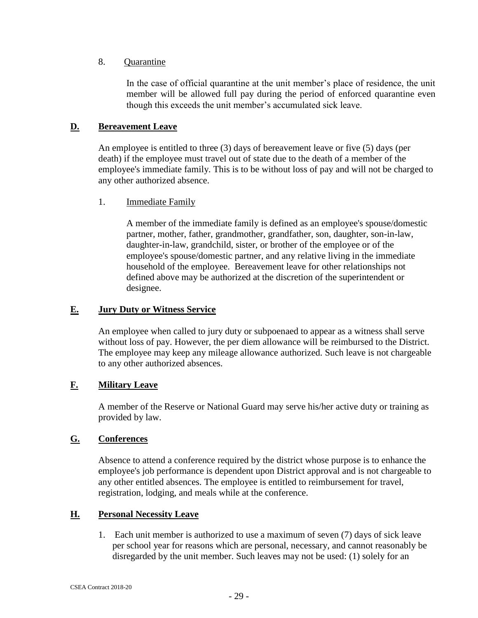#### 8. Quarantine

In the case of official quarantine at the unit member's place of residence, the unit member will be allowed full pay during the period of enforced quarantine even though this exceeds the unit member's accumulated sick leave.

#### <span id="page-28-0"></span>**D. Bereavement Leave**

An employee is entitled to three (3) days of bereavement leave or five (5) days (per death) if the employee must travel out of state due to the death of a member of the employee's immediate family. This is to be without loss of pay and will not be charged to any other authorized absence.

#### 1. Immediate Family

A member of the immediate family is defined as an employee's spouse/domestic partner, mother, father, grandmother, grandfather, son, daughter, son-in-law, daughter-in-law, grandchild, sister, or brother of the employee or of the employee's spouse/domestic partner, and any relative living in the immediate household of the employee. Bereavement leave for other relationships not defined above may be authorized at the discretion of the superintendent or designee.

#### <span id="page-28-1"></span>**E. Jury Duty or Witness Service**

An employee when called to jury duty or subpoenaed to appear as a witness shall serve without loss of pay. However, the per diem allowance will be reimbursed to the District. The employee may keep any mileage allowance authorized. Such leave is not chargeable to any other authorized absences.

#### <span id="page-28-2"></span>**F. Military Leave**

A member of the Reserve or National Guard may serve his/her active duty or training as provided by law.

#### <span id="page-28-3"></span>**G. Conferences**

Absence to attend a conference required by the district whose purpose is to enhance the employee's job performance is dependent upon District approval and is not chargeable to any other entitled absences. The employee is entitled to reimbursement for travel, registration, lodging, and meals while at the conference.

#### <span id="page-28-4"></span>**H. Personal Necessity Leave**

1. Each unit member is authorized to use a maximum of seven (7) days of sick leave per school year for reasons which are personal, necessary, and cannot reasonably be disregarded by the unit member. Such leaves may not be used: (1) solely for an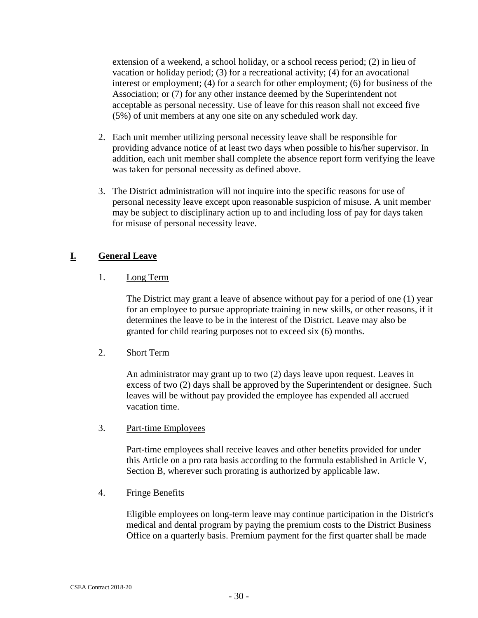extension of a weekend, a school holiday, or a school recess period; (2) in lieu of vacation or holiday period; (3) for a recreational activity; (4) for an avocational interest or employment; (4) for a search for other employment; (6) for business of the Association; or (7) for any other instance deemed by the Superintendent not acceptable as personal necessity. Use of leave for this reason shall not exceed five (5%) of unit members at any one site on any scheduled work day.

- 2. Each unit member utilizing personal necessity leave shall be responsible for providing advance notice of at least two days when possible to his/her supervisor. In addition, each unit member shall complete the absence report form verifying the leave was taken for personal necessity as defined above.
- 3. The District administration will not inquire into the specific reasons for use of personal necessity leave except upon reasonable suspicion of misuse. A unit member may be subject to disciplinary action up to and including loss of pay for days taken for misuse of personal necessity leave.

#### <span id="page-29-0"></span>**I. General Leave**

#### 1. Long Term

The District may grant a leave of absence without pay for a period of one (1) year for an employee to pursue appropriate training in new skills, or other reasons, if it determines the leave to be in the interest of the District. Leave may also be granted for child rearing purposes not to exceed six (6) months.

#### 2. Short Term

An administrator may grant up to two (2) days leave upon request. Leaves in excess of two (2) days shall be approved by the Superintendent or designee. Such leaves will be without pay provided the employee has expended all accrued vacation time.

#### 3. Part-time Employees

Part-time employees shall receive leaves and other benefits provided for under this Article on a pro rata basis according to the formula established in Article V, Section B, wherever such prorating is authorized by applicable law.

#### 4. Fringe Benefits

Eligible employees on long-term leave may continue participation in the District's medical and dental program by paying the premium costs to the District Business Office on a quarterly basis. Premium payment for the first quarter shall be made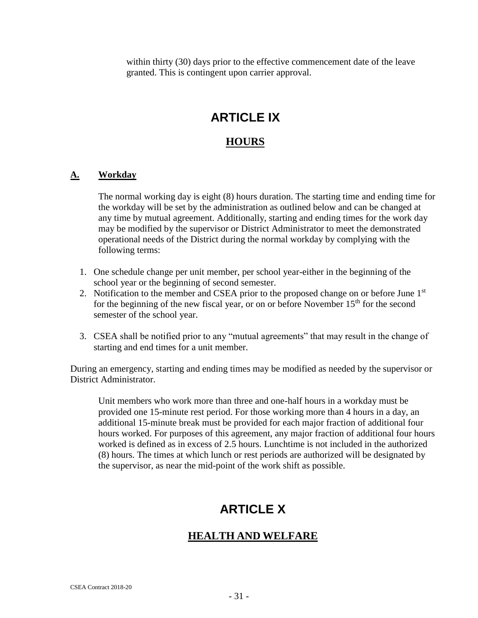within thirty (30) days prior to the effective commencement date of the leave granted. This is contingent upon carrier approval.

### **ARTICLE IX**

#### **HOURS**

#### <span id="page-30-1"></span><span id="page-30-0"></span>**A. Workday**

The normal working day is eight (8) hours duration. The starting time and ending time for the workday will be set by the administration as outlined below and can be changed at any time by mutual agreement. Additionally, starting and ending times for the work day may be modified by the supervisor or District Administrator to meet the demonstrated operational needs of the District during the normal workday by complying with the following terms:

- 1. One schedule change per unit member, per school year-either in the beginning of the school year or the beginning of second semester.
- 2. Notification to the member and CSEA prior to the proposed change on or before June  $1<sup>st</sup>$ for the beginning of the new fiscal year, or on or before November  $15<sup>th</sup>$  for the second semester of the school year.
- 3. CSEA shall be notified prior to any "mutual agreements" that may result in the change of starting and end times for a unit member.

During an emergency, starting and ending times may be modified as needed by the supervisor or District Administrator.

<span id="page-30-2"></span>Unit members who work more than three and one-half hours in a workday must be provided one 15-minute rest period. For those working more than 4 hours in a day, an additional 15-minute break must be provided for each major fraction of additional four hours worked. For purposes of this agreement, any major fraction of additional four hours worked is defined as in excess of 2.5 hours. Lunchtime is not included in the authorized (8) hours. The times at which lunch or rest periods are authorized will be designated by the supervisor, as near the mid-point of the work shift as possible.

## **ARTICLE X**

#### <span id="page-30-3"></span>**HEALTH AND WELFARE**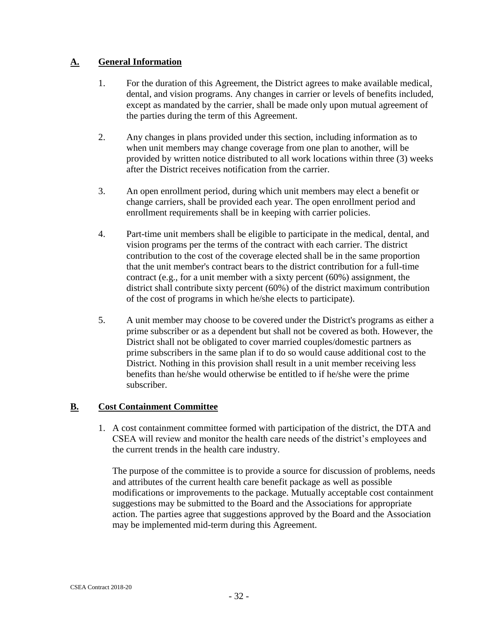#### <span id="page-31-0"></span>**A. General Information**

- 1. For the duration of this Agreement, the District agrees to make available medical, dental, and vision programs. Any changes in carrier or levels of benefits included, except as mandated by the carrier, shall be made only upon mutual agreement of the parties during the term of this Agreement.
- 2. Any changes in plans provided under this section, including information as to when unit members may change coverage from one plan to another, will be provided by written notice distributed to all work locations within three (3) weeks after the District receives notification from the carrier.
- 3. An open enrollment period, during which unit members may elect a benefit or change carriers, shall be provided each year. The open enrollment period and enrollment requirements shall be in keeping with carrier policies.
- 4. Part-time unit members shall be eligible to participate in the medical, dental, and vision programs per the terms of the contract with each carrier. The district contribution to the cost of the coverage elected shall be in the same proportion that the unit member's contract bears to the district contribution for a full-time contract (e.g., for a unit member with a sixty percent (60%) assignment, the district shall contribute sixty percent (60%) of the district maximum contribution of the cost of programs in which he/she elects to participate).
- 5. A unit member may choose to be covered under the District's programs as either a prime subscriber or as a dependent but shall not be covered as both. However, the District shall not be obligated to cover married couples/domestic partners as prime subscribers in the same plan if to do so would cause additional cost to the District. Nothing in this provision shall result in a unit member receiving less benefits than he/she would otherwise be entitled to if he/she were the prime subscriber.

#### <span id="page-31-1"></span>**B. Cost Containment Committee**

1. A cost containment committee formed with participation of the district, the DTA and CSEA will review and monitor the health care needs of the district's employees and the current trends in the health care industry.

The purpose of the committee is to provide a source for discussion of problems, needs and attributes of the current health care benefit package as well as possible modifications or improvements to the package. Mutually acceptable cost containment suggestions may be submitted to the Board and the Associations for appropriate action. The parties agree that suggestions approved by the Board and the Association may be implemented mid-term during this Agreement.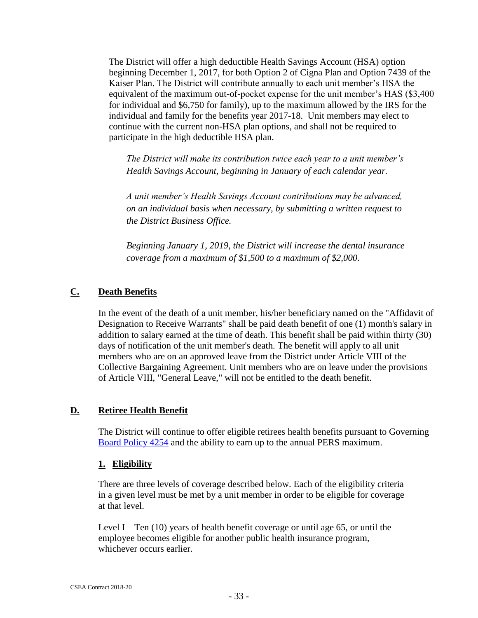The District will offer a high deductible Health Savings Account (HSA) option beginning December 1, 2017, for both Option 2 of Cigna Plan and Option 7439 of the Kaiser Plan. The District will contribute annually to each unit member's HSA the equivalent of the maximum out-of-pocket expense for the unit member's HAS (\$3,400 for individual and \$6,750 for family), up to the maximum allowed by the IRS for the individual and family for the benefits year 2017-18. Unit members may elect to continue with the current non-HSA plan options, and shall not be required to participate in the high deductible HSA plan.

*The District will make its contribution twice each year to a unit member's Health Savings Account, beginning in January of each calendar year.*

*A unit member's Health Savings Account contributions may be advanced, on an individual basis when necessary, by submitting a written request to the District Business Office.*

*Beginning January 1, 2019, the District will increase the dental insurance coverage from a maximum of \$1,500 to a maximum of \$2,000.*

#### <span id="page-32-0"></span>**C. Death Benefits**

In the event of the death of a unit member, his/her beneficiary named on the "Affidavit of Designation to Receive Warrants" shall be paid death benefit of one (1) month's salary in addition to salary earned at the time of death. This benefit shall be paid within thirty (30) days of notification of the unit member's death. The benefit will apply to all unit members who are on an approved leave from the District under Article VIII of the Collective Bargaining Agreement. Unit members who are on leave under the provisions of Article VIII, "General Leave," will not be entitled to the death benefit.

#### <span id="page-32-1"></span>**D. Retiree Health Benefit**

The District will continue to offer eligible retirees health benefits pursuant to Governing [Board Policy 4254](http://www.gamutonline.net/district/mountainviewlosaltos/DisplayPolicy/391228/4) and the ability to earn up to the annual PERS maximum.

#### **1. Eligibility**

There are three levels of coverage described below. Each of the eligibility criteria in a given level must be met by a unit member in order to be eligible for coverage at that level.

Level I – Ten  $(10)$  years of health benefit coverage or until age 65, or until the employee becomes eligible for another public health insurance program, whichever occurs earlier.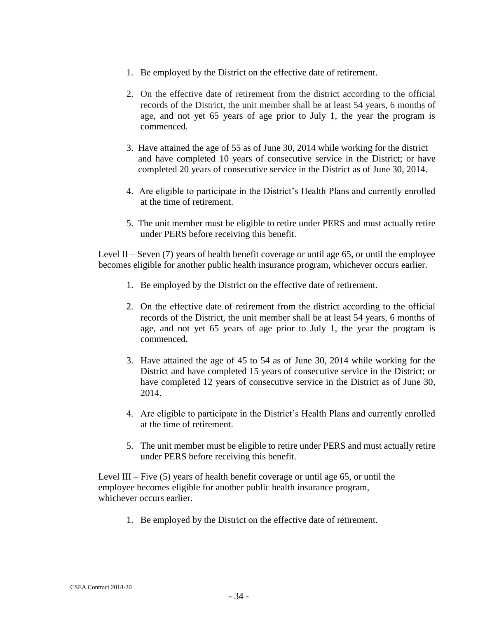- 1. Be employed by the District on the effective date of retirement.
- 2. On the effective date of retirement from the district according to the official records of the District, the unit member shall be at least 54 years, 6 months of age, and not yet 65 years of age prior to July 1, the year the program is commenced.
- 3. Have attained the age of 55 as of June 30, 2014 while working for the district and have completed 10 years of consecutive service in the District; or have completed 20 years of consecutive service in the District as of June 30, 2014.
- 4. Are eligible to participate in the District's Health Plans and currently enrolled at the time of retirement.
- 5. The unit member must be eligible to retire under PERS and must actually retire under PERS before receiving this benefit.

Level II – Seven  $(7)$  years of health benefit coverage or until age 65, or until the employee becomes eligible for another public health insurance program, whichever occurs earlier.

- 1. Be employed by the District on the effective date of retirement.
- 2. On the effective date of retirement from the district according to the official records of the District, the unit member shall be at least 54 years, 6 months of age, and not yet 65 years of age prior to July 1, the year the program is commenced.
- 3. Have attained the age of 45 to 54 as of June 30, 2014 while working for the District and have completed 15 years of consecutive service in the District; or have completed 12 years of consecutive service in the District as of June 30, 2014.
- 4. Are eligible to participate in the District's Health Plans and currently enrolled at the time of retirement.
- 5. The unit member must be eligible to retire under PERS and must actually retire under PERS before receiving this benefit.

Level III – Five (5) years of health benefit coverage or until age 65, or until the employee becomes eligible for another public health insurance program, whichever occurs earlier.

1. Be employed by the District on the effective date of retirement.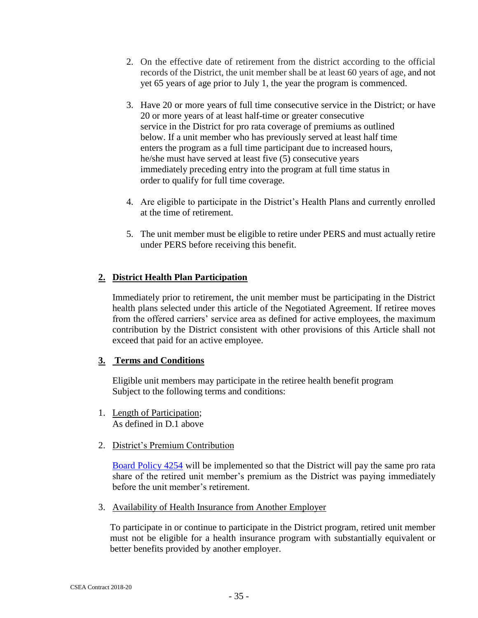- 2. On the effective date of retirement from the district according to the official records of the District, the unit member shall be at least 60 years of age, and not yet 65 years of age prior to July 1, the year the program is commenced.
- 3. Have 20 or more years of full time consecutive service in the District; or have 20 or more years of at least half-time or greater consecutive service in the District for pro rata coverage of premiums as outlined below. If a unit member who has previously served at least half time enters the program as a full time participant due to increased hours, he/she must have served at least five (5) consecutive years immediately preceding entry into the program at full time status in order to qualify for full time coverage.
- 4. Are eligible to participate in the District's Health Plans and currently enrolled at the time of retirement.
- 5. The unit member must be eligible to retire under PERS and must actually retire under PERS before receiving this benefit.

#### **2. District Health Plan Participation**

Immediately prior to retirement, the unit member must be participating in the District health plans selected under this article of the Negotiated Agreement. If retiree moves from the offered carriers' service area as defined for active employees, the maximum contribution by the District consistent with other provisions of this Article shall not exceed that paid for an active employee.

#### **3. Terms and Conditions**

Eligible unit members may participate in the retiree health benefit program Subject to the following terms and conditions:

- 1. Length of Participation; As defined in D.1 above
- 2. District's Premium Contribution

[Board Policy 4254](http://www.gamutonline.net/district/mountainviewlosaltos/DisplayPolicy/391228/4) will be implemented so that the District will pay the same pro rata share of the retired unit member's premium as the District was paying immediately before the unit member's retirement.

3. Availability of Health Insurance from Another Employer

To participate in or continue to participate in the District program, retired unit member must not be eligible for a health insurance program with substantially equivalent or better benefits provided by another employer.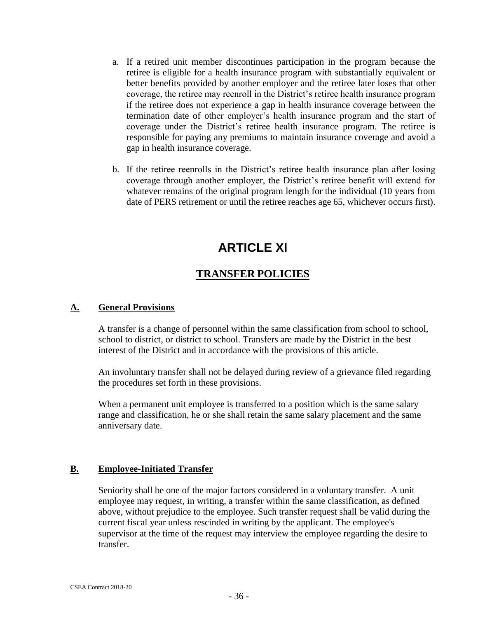- a. If a retired unit member discontinues participation in the program because the retiree is eligible for a health insurance program with substantially equivalent or better benefits provided by another employer and the retiree later loses that other coverage, the retiree may reenroll in the District's retiree health insurance program if the retiree does not experience a gap in health insurance coverage between the termination date of other employer's health insurance program and the start of coverage under the District's retiree health insurance program. The retiree is responsible for paying any premiums to maintain insurance coverage and avoid a gap in health insurance coverage.
- b. If the retiree reenrolls in the District's retiree health insurance plan after losing coverage through another employer, the District's retiree benefit will extend for whatever remains of the original program length for the individual (10 years from date of PERS retirement or until the retiree reaches age 65, whichever occurs first).

## **ARTICLE XI**

#### **TRANSFER POLICIES**

#### <span id="page-35-2"></span><span id="page-35-1"></span><span id="page-35-0"></span>**A. General Provisions**

A transfer is a change of personnel within the same classification from school to school, school to district, or district to school. Transfers are made by the District in the best interest of the District and in accordance with the provisions of this article.

An involuntary transfer shall not be delayed during review of a grievance filed regarding the procedures set forth in these provisions.

When a permanent unit employee is transferred to a position which is the same salary range and classification, he or she shall retain the same salary placement and the same anniversary date.

#### <span id="page-35-3"></span>**B. Employee-Initiated Transfer**

Seniority shall be one of the major factors considered in a voluntary transfer. A unit employee may request, in writing, a transfer within the same classification, as defined above, without prejudice to the employee. Such transfer request shall be valid during the current fiscal year unless rescinded in writing by the applicant. The employee's supervisor at the time of the request may interview the employee regarding the desire to transfer.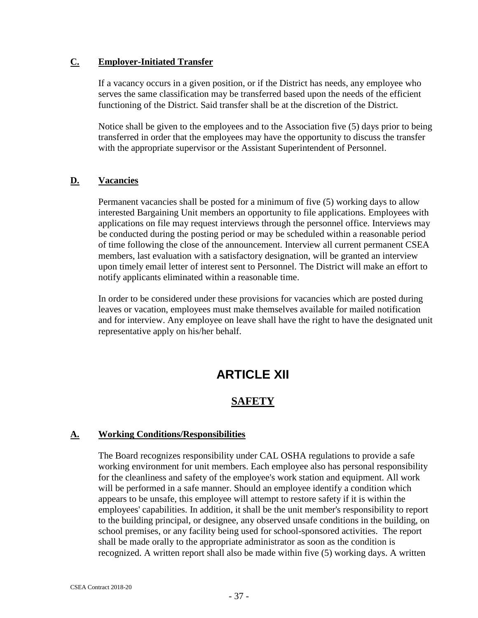#### <span id="page-36-0"></span>**C. Employer-Initiated Transfer**

If a vacancy occurs in a given position, or if the District has needs, any employee who serves the same classification may be transferred based upon the needs of the efficient functioning of the District. Said transfer shall be at the discretion of the District.

Notice shall be given to the employees and to the Association five (5) days prior to being transferred in order that the employees may have the opportunity to discuss the transfer with the appropriate supervisor or the Assistant Superintendent of Personnel.

#### <span id="page-36-1"></span>**D. Vacancies**

Permanent vacancies shall be posted for a minimum of five (5) working days to allow interested Bargaining Unit members an opportunity to file applications. Employees with applications on file may request interviews through the personnel office. Interviews may be conducted during the posting period or may be scheduled within a reasonable period of time following the close of the announcement. Interview all current permanent CSEA members, last evaluation with a satisfactory designation, will be granted an interview upon timely email letter of interest sent to Personnel. The District will make an effort to notify applicants eliminated within a reasonable time.

<span id="page-36-2"></span>In order to be considered under these provisions for vacancies which are posted during leaves or vacation, employees must make themselves available for mailed notification and for interview. Any employee on leave shall have the right to have the designated unit representative apply on his/her behalf.

## **ARTICLE XII**

#### **SAFETY**

#### <span id="page-36-4"></span><span id="page-36-3"></span>**A. Working Conditions/Responsibilities**

The Board recognizes responsibility under CAL OSHA regulations to provide a safe working environment for unit members. Each employee also has personal responsibility for the cleanliness and safety of the employee's work station and equipment. All work will be performed in a safe manner. Should an employee identify a condition which appears to be unsafe, this employee will attempt to restore safety if it is within the employees' capabilities. In addition, it shall be the unit member's responsibility to report to the building principal, or designee, any observed unsafe conditions in the building, on school premises, or any facility being used for school-sponsored activities. The report shall be made orally to the appropriate administrator as soon as the condition is recognized. A written report shall also be made within five (5) working days. A written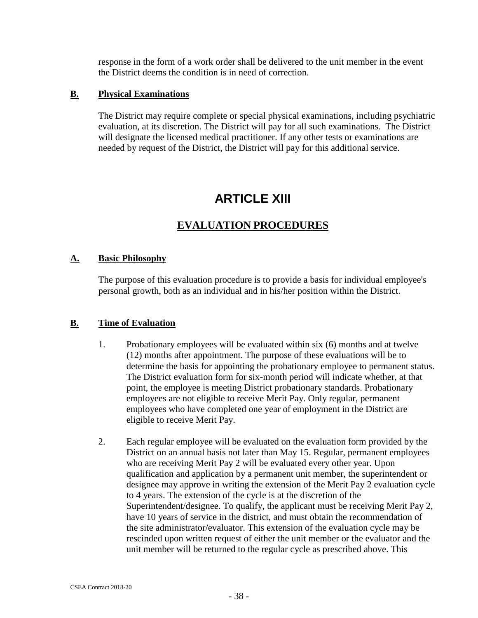response in the form of a work order shall be delivered to the unit member in the event the District deems the condition is in need of correction.

#### <span id="page-37-0"></span>**B. Physical Examinations**

The District may require complete or special physical examinations, including psychiatric evaluation, at its discretion. The District will pay for all such examinations. The District will designate the licensed medical practitioner. If any other tests or examinations are needed by request of the District, the District will pay for this additional service.

## **ARTICLE XIII**

#### **EVALUATION PROCEDURES**

#### <span id="page-37-3"></span><span id="page-37-2"></span><span id="page-37-1"></span>**A. Basic Philosophy**

The purpose of this evaluation procedure is to provide a basis for individual employee's personal growth, both as an individual and in his/her position within the District.

#### <span id="page-37-4"></span>**B. Time of Evaluation**

- 1. Probationary employees will be evaluated within six (6) months and at twelve (12) months after appointment. The purpose of these evaluations will be to determine the basis for appointing the probationary employee to permanent status. The District evaluation form for six-month period will indicate whether, at that point, the employee is meeting District probationary standards. Probationary employees are not eligible to receive Merit Pay. Only regular, permanent employees who have completed one year of employment in the District are eligible to receive Merit Pay.
- 2. Each regular employee will be evaluated on the evaluation form provided by the District on an annual basis not later than May 15. Regular, permanent employees who are receiving Merit Pay 2 will be evaluated every other year. Upon qualification and application by a permanent unit member, the superintendent or designee may approve in writing the extension of the Merit Pay 2 evaluation cycle to 4 years. The extension of the cycle is at the discretion of the Superintendent/designee. To qualify, the applicant must be receiving Merit Pay 2, have 10 years of service in the district, and must obtain the recommendation of the site administrator/evaluator. This extension of the evaluation cycle may be rescinded upon written request of either the unit member or the evaluator and the unit member will be returned to the regular cycle as prescribed above. This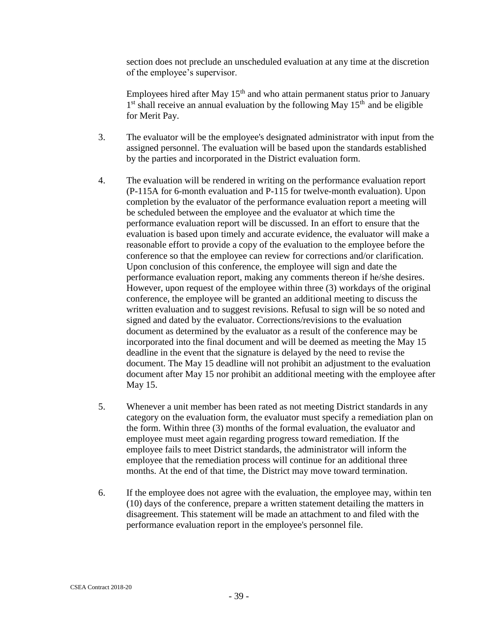section does not preclude an unscheduled evaluation at any time at the discretion of the employee's supervisor.

Employees hired after May  $15<sup>th</sup>$  and who attain permanent status prior to January 1<sup>st</sup> shall receive an annual evaluation by the following May 15<sup>th</sup> and be eligible for Merit Pay.

- 3. The evaluator will be the employee's designated administrator with input from the assigned personnel. The evaluation will be based upon the standards established by the parties and incorporated in the District evaluation form.
- 4. The evaluation will be rendered in writing on the performance evaluation report (P-115A for 6-month evaluation and P-115 for twelve-month evaluation). Upon completion by the evaluator of the performance evaluation report a meeting will be scheduled between the employee and the evaluator at which time the performance evaluation report will be discussed. In an effort to ensure that the evaluation is based upon timely and accurate evidence, the evaluator will make a reasonable effort to provide a copy of the evaluation to the employee before the conference so that the employee can review for corrections and/or clarification. Upon conclusion of this conference, the employee will sign and date the performance evaluation report, making any comments thereon if he/she desires. However, upon request of the employee within three (3) workdays of the original conference, the employee will be granted an additional meeting to discuss the written evaluation and to suggest revisions. Refusal to sign will be so noted and signed and dated by the evaluator. Corrections/revisions to the evaluation document as determined by the evaluator as a result of the conference may be incorporated into the final document and will be deemed as meeting the May 15 deadline in the event that the signature is delayed by the need to revise the document. The May 15 deadline will not prohibit an adjustment to the evaluation document after May 15 nor prohibit an additional meeting with the employee after May 15.
- 5. Whenever a unit member has been rated as not meeting District standards in any category on the evaluation form, the evaluator must specify a remediation plan on the form. Within three (3) months of the formal evaluation, the evaluator and employee must meet again regarding progress toward remediation. If the employee fails to meet District standards, the administrator will inform the employee that the remediation process will continue for an additional three months. At the end of that time, the District may move toward termination.
- 6. If the employee does not agree with the evaluation, the employee may, within ten (10) days of the conference, prepare a written statement detailing the matters in disagreement. This statement will be made an attachment to and filed with the performance evaluation report in the employee's personnel file.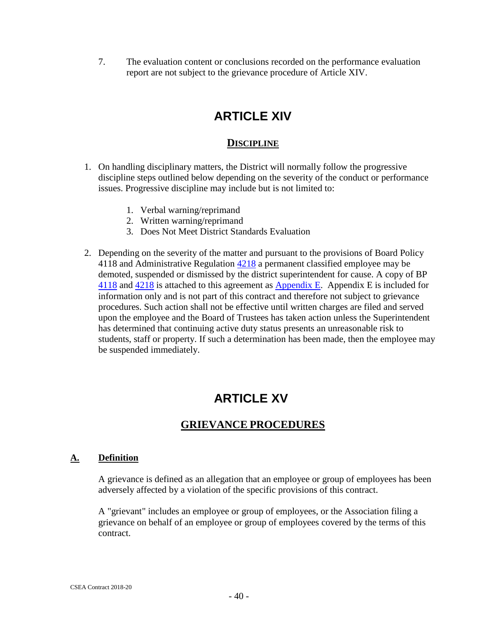<span id="page-39-0"></span>7. The evaluation content or conclusions recorded on the performance evaluation report are not subject to the grievance procedure of Article XIV.

## **ARTICLE XIV**

#### **DISCIPLINE**

- <span id="page-39-1"></span>1. On handling disciplinary matters, the District will normally follow the progressive discipline steps outlined below depending on the severity of the conduct or performance issues. Progressive discipline may include but is not limited to:
	- 1. Verbal warning/reprimand
	- 2. Written warning/reprimand
	- 3. Does Not Meet District Standards Evaluation
- 2. Depending on the severity of the matter and pursuant to the provisions of Board Policy 4118 and Administrative Regulation  $\frac{4218}{2}$  a permanent classified employee may be demoted, suspended or dismissed by the district superintendent for cause. A copy of BP [4118](http://www.gamutonline.net/district/mountainviewlosaltos/DisplayPolicy/162431/4) and [4218](http://www.gamutonline.net/district/mountainviewlosaltos/DisplayPolicy/162110/4) is attached to this agreement as [Appendix E.](#page-52-1) Appendix E is included for information only and is not part of this contract and therefore not subject to grievance procedures. Such action shall not be effective until written charges are filed and served upon the employee and the Board of Trustees has taken action unless the Superintendent has determined that continuing active duty status presents an unreasonable risk to students, staff or property. If such a determination has been made, then the employee may be suspended immediately.

## **ARTICLE XV**

#### **GRIEVANCE PROCEDURES**

#### <span id="page-39-3"></span><span id="page-39-2"></span>**A. Definition**

A grievance is defined as an allegation that an employee or group of employees has been adversely affected by a violation of the specific provisions of this contract.

A "grievant" includes an employee or group of employees, or the Association filing a grievance on behalf of an employee or group of employees covered by the terms of this contract.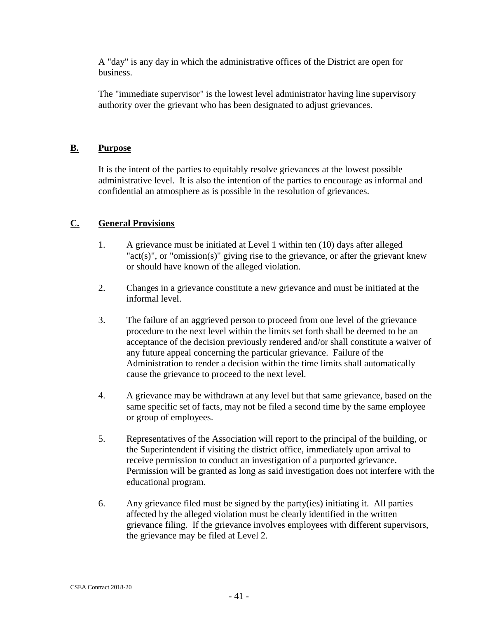A "day" is any day in which the administrative offices of the District are open for business.

The "immediate supervisor" is the lowest level administrator having line supervisory authority over the grievant who has been designated to adjust grievances.

#### <span id="page-40-0"></span>**B. Purpose**

It is the intent of the parties to equitably resolve grievances at the lowest possible administrative level. It is also the intention of the parties to encourage as informal and confidential an atmosphere as is possible in the resolution of grievances.

#### <span id="page-40-1"></span>**C. General Provisions**

- 1. A grievance must be initiated at Level 1 within ten (10) days after alleged " $act(s)$ ", or "omission(s)" giving rise to the grievance, or after the grievant knew or should have known of the alleged violation.
- 2. Changes in a grievance constitute a new grievance and must be initiated at the informal level.
- 3. The failure of an aggrieved person to proceed from one level of the grievance procedure to the next level within the limits set forth shall be deemed to be an acceptance of the decision previously rendered and/or shall constitute a waiver of any future appeal concerning the particular grievance. Failure of the Administration to render a decision within the time limits shall automatically cause the grievance to proceed to the next level.
- 4. A grievance may be withdrawn at any level but that same grievance, based on the same specific set of facts, may not be filed a second time by the same employee or group of employees.
- 5. Representatives of the Association will report to the principal of the building, or the Superintendent if visiting the district office, immediately upon arrival to receive permission to conduct an investigation of a purported grievance. Permission will be granted as long as said investigation does not interfere with the educational program.
- 6. Any grievance filed must be signed by the party(ies) initiating it. All parties affected by the alleged violation must be clearly identified in the written grievance filing. If the grievance involves employees with different supervisors, the grievance may be filed at Level 2.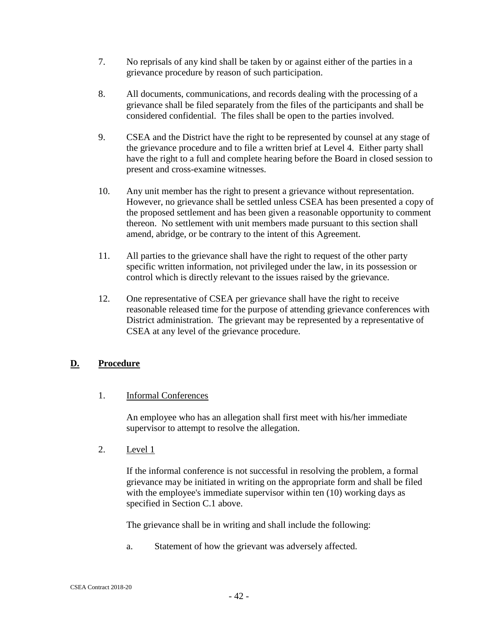- 7. No reprisals of any kind shall be taken by or against either of the parties in a grievance procedure by reason of such participation.
- 8. All documents, communications, and records dealing with the processing of a grievance shall be filed separately from the files of the participants and shall be considered confidential. The files shall be open to the parties involved.
- 9. CSEA and the District have the right to be represented by counsel at any stage of the grievance procedure and to file a written brief at Level 4. Either party shall have the right to a full and complete hearing before the Board in closed session to present and cross-examine witnesses.
- 10. Any unit member has the right to present a grievance without representation. However, no grievance shall be settled unless CSEA has been presented a copy of the proposed settlement and has been given a reasonable opportunity to comment thereon. No settlement with unit members made pursuant to this section shall amend, abridge, or be contrary to the intent of this Agreement.
- 11. All parties to the grievance shall have the right to request of the other party specific written information, not privileged under the law, in its possession or control which is directly relevant to the issues raised by the grievance.
- 12. One representative of CSEA per grievance shall have the right to receive reasonable released time for the purpose of attending grievance conferences with District administration. The grievant may be represented by a representative of CSEA at any level of the grievance procedure.

#### <span id="page-41-0"></span>**D. Procedure**

#### 1. Informal Conferences

An employee who has an allegation shall first meet with his/her immediate supervisor to attempt to resolve the allegation.

2. Level 1

If the informal conference is not successful in resolving the problem, a formal grievance may be initiated in writing on the appropriate form and shall be filed with the employee's immediate supervisor within ten (10) working days as specified in Section C.1 above.

The grievance shall be in writing and shall include the following:

a. Statement of how the grievant was adversely affected.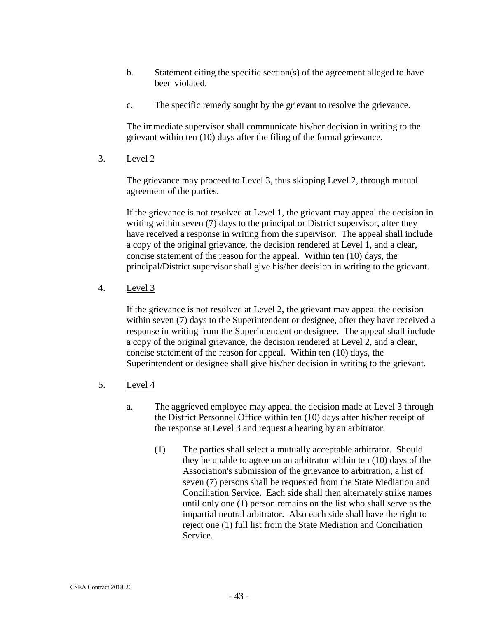- b. Statement citing the specific section(s) of the agreement alleged to have been violated.
- c. The specific remedy sought by the grievant to resolve the grievance.

The immediate supervisor shall communicate his/her decision in writing to the grievant within ten (10) days after the filing of the formal grievance.

3. Level 2

The grievance may proceed to Level 3, thus skipping Level 2, through mutual agreement of the parties.

If the grievance is not resolved at Level 1, the grievant may appeal the decision in writing within seven (7) days to the principal or District supervisor, after they have received a response in writing from the supervisor. The appeal shall include a copy of the original grievance, the decision rendered at Level 1, and a clear, concise statement of the reason for the appeal. Within ten (10) days, the principal/District supervisor shall give his/her decision in writing to the grievant.

4. Level 3

If the grievance is not resolved at Level 2, the grievant may appeal the decision within seven (7) days to the Superintendent or designee, after they have received a response in writing from the Superintendent or designee. The appeal shall include a copy of the original grievance, the decision rendered at Level 2, and a clear, concise statement of the reason for appeal. Within ten (10) days, the Superintendent or designee shall give his/her decision in writing to the grievant.

- 5. Level 4
	- a. The aggrieved employee may appeal the decision made at Level 3 through the District Personnel Office within ten (10) days after his/her receipt of the response at Level 3 and request a hearing by an arbitrator.
		- (1) The parties shall select a mutually acceptable arbitrator. Should they be unable to agree on an arbitrator within ten (10) days of the Association's submission of the grievance to arbitration, a list of seven (7) persons shall be requested from the State Mediation and Conciliation Service. Each side shall then alternately strike names until only one (1) person remains on the list who shall serve as the impartial neutral arbitrator. Also each side shall have the right to reject one (1) full list from the State Mediation and Conciliation Service.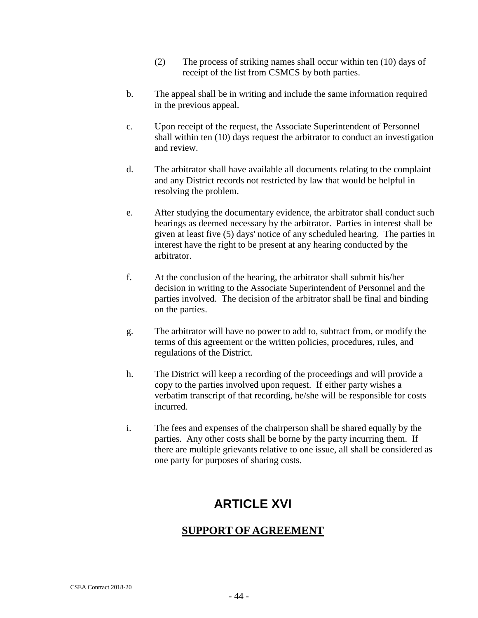- (2) The process of striking names shall occur within ten (10) days of receipt of the list from CSMCS by both parties.
- b. The appeal shall be in writing and include the same information required in the previous appeal.
- c. Upon receipt of the request, the Associate Superintendent of Personnel shall within ten (10) days request the arbitrator to conduct an investigation and review.
- d. The arbitrator shall have available all documents relating to the complaint and any District records not restricted by law that would be helpful in resolving the problem.
- e. After studying the documentary evidence, the arbitrator shall conduct such hearings as deemed necessary by the arbitrator. Parties in interest shall be given at least five (5) days' notice of any scheduled hearing. The parties in interest have the right to be present at any hearing conducted by the arbitrator.
- f. At the conclusion of the hearing, the arbitrator shall submit his/her decision in writing to the Associate Superintendent of Personnel and the parties involved. The decision of the arbitrator shall be final and binding on the parties.
- g. The arbitrator will have no power to add to, subtract from, or modify the terms of this agreement or the written policies, procedures, rules, and regulations of the District.
- h. The District will keep a recording of the proceedings and will provide a copy to the parties involved upon request. If either party wishes a verbatim transcript of that recording, he/she will be responsible for costs incurred.
- <span id="page-43-0"></span>i. The fees and expenses of the chairperson shall be shared equally by the parties. Any other costs shall be borne by the party incurring them. If there are multiple grievants relative to one issue, all shall be considered as one party for purposes of sharing costs.

## **ARTICLE XVI**

#### <span id="page-43-1"></span>**SUPPORT OF AGREEMENT**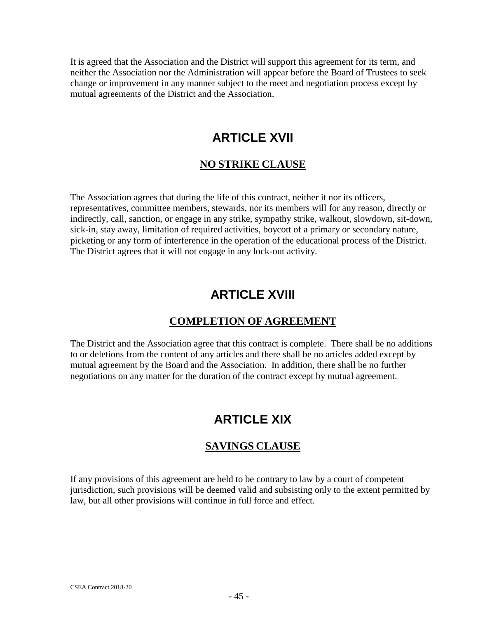<span id="page-44-0"></span>It is agreed that the Association and the District will support this agreement for its term, and neither the Association nor the Administration will appear before the Board of Trustees to seek change or improvement in any manner subject to the meet and negotiation process except by mutual agreements of the District and the Association.

## **ARTICLE XVII**

#### **NO STRIKE CLAUSE**

<span id="page-44-1"></span>The Association agrees that during the life of this contract, neither it nor its officers, representatives, committee members, stewards, nor its members will for any reason, directly or indirectly, call, sanction, or engage in any strike, sympathy strike, walkout, slowdown, sit-down, sick-in, stay away, limitation of required activities, boycott of a primary or secondary nature, picketing or any form of interference in the operation of the educational process of the District. The District agrees that it will not engage in any lock-out activity.

## **ARTICLE XVIII**

#### **COMPLETION OF AGREEMENT**

<span id="page-44-4"></span><span id="page-44-3"></span><span id="page-44-2"></span>The District and the Association agree that this contract is complete. There shall be no additions to or deletions from the content of any articles and there shall be no articles added except by mutual agreement by the Board and the Association. In addition, there shall be no further negotiations on any matter for the duration of the contract except by mutual agreement.

## **ARTICLE XIX**

#### **SAVINGS CLAUSE**

<span id="page-44-5"></span>If any provisions of this agreement are held to be contrary to law by a court of competent jurisdiction, such provisions will be deemed valid and subsisting only to the extent permitted by law, but all other provisions will continue in full force and effect.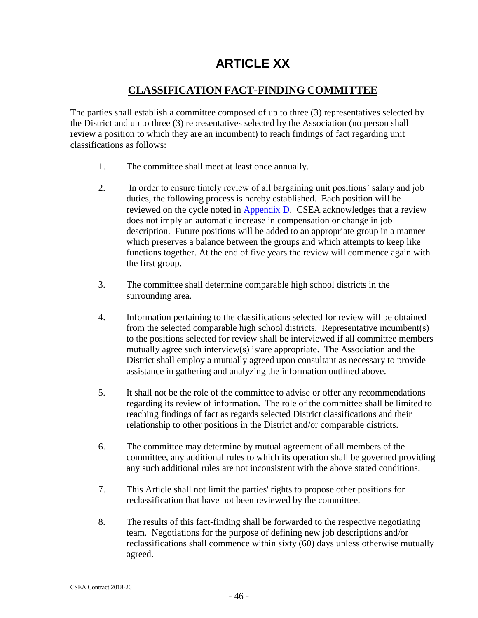## **ARTICLE XX**

### **CLASSIFICATION FACT-FINDING COMMITTEE**

<span id="page-45-1"></span><span id="page-45-0"></span>The parties shall establish a committee composed of up to three (3) representatives selected by the District and up to three (3) representatives selected by the Association (no person shall review a position to which they are an incumbent) to reach findings of fact regarding unit classifications as follows:

- 1. The committee shall meet at least once annually.
- 2. In order to ensure timely review of all bargaining unit positions' salary and job duties, the following process is hereby established. Each position will be reviewed on the cycle noted in [Appendix D.](#page-50-1) CSEA acknowledges that a review does not imply an automatic increase in compensation or change in job description. Future positions will be added to an appropriate group in a manner which preserves a balance between the groups and which attempts to keep like functions together. At the end of five years the review will commence again with the first group.
- 3. The committee shall determine comparable high school districts in the surrounding area.
- 4. Information pertaining to the classifications selected for review will be obtained from the selected comparable high school districts. Representative incumbent(s) to the positions selected for review shall be interviewed if all committee members mutually agree such interview(s) is/are appropriate. The Association and the District shall employ a mutually agreed upon consultant as necessary to provide assistance in gathering and analyzing the information outlined above.
- 5. It shall not be the role of the committee to advise or offer any recommendations regarding its review of information. The role of the committee shall be limited to reaching findings of fact as regards selected District classifications and their relationship to other positions in the District and/or comparable districts.
- 6. The committee may determine by mutual agreement of all members of the committee, any additional rules to which its operation shall be governed providing any such additional rules are not inconsistent with the above stated conditions.
- 7. This Article shall not limit the parties' rights to propose other positions for reclassification that have not been reviewed by the committee.
- 8. The results of this fact-finding shall be forwarded to the respective negotiating team. Negotiations for the purpose of defining new job descriptions and/or reclassifications shall commence within sixty (60) days unless otherwise mutually agreed.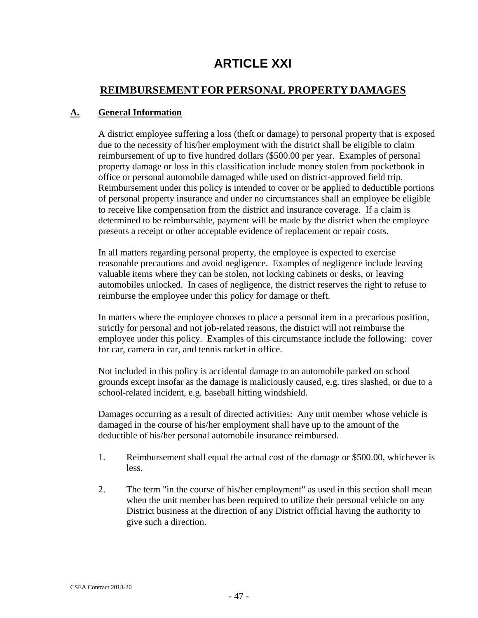## **ARTICLE XXI**

#### <span id="page-46-0"></span>**REIMBURSEMENT FOR PERSONAL PROPERTY DAMAGES**

#### <span id="page-46-2"></span><span id="page-46-1"></span>**A. General Information**

A district employee suffering a loss (theft or damage) to personal property that is exposed due to the necessity of his/her employment with the district shall be eligible to claim reimbursement of up to five hundred dollars (\$500.00 per year. Examples of personal property damage or loss in this classification include money stolen from pocketbook in office or personal automobile damaged while used on district-approved field trip. Reimbursement under this policy is intended to cover or be applied to deductible portions of personal property insurance and under no circumstances shall an employee be eligible to receive like compensation from the district and insurance coverage. If a claim is determined to be reimbursable, payment will be made by the district when the employee presents a receipt or other acceptable evidence of replacement or repair costs.

In all matters regarding personal property, the employee is expected to exercise reasonable precautions and avoid negligence. Examples of negligence include leaving valuable items where they can be stolen, not locking cabinets or desks, or leaving automobiles unlocked. In cases of negligence, the district reserves the right to refuse to reimburse the employee under this policy for damage or theft.

In matters where the employee chooses to place a personal item in a precarious position, strictly for personal and not job-related reasons, the district will not reimburse the employee under this policy. Examples of this circumstance include the following: cover for car, camera in car, and tennis racket in office.

Not included in this policy is accidental damage to an automobile parked on school grounds except insofar as the damage is maliciously caused, e.g. tires slashed, or due to a school-related incident, e.g. baseball hitting windshield.

Damages occurring as a result of directed activities: Any unit member whose vehicle is damaged in the course of his/her employment shall have up to the amount of the deductible of his/her personal automobile insurance reimbursed.

- 1. Reimbursement shall equal the actual cost of the damage or \$500.00, whichever is less.
- 2. The term "in the course of his/her employment" as used in this section shall mean when the unit member has been required to utilize their personal vehicle on any District business at the direction of any District official having the authority to give such a direction.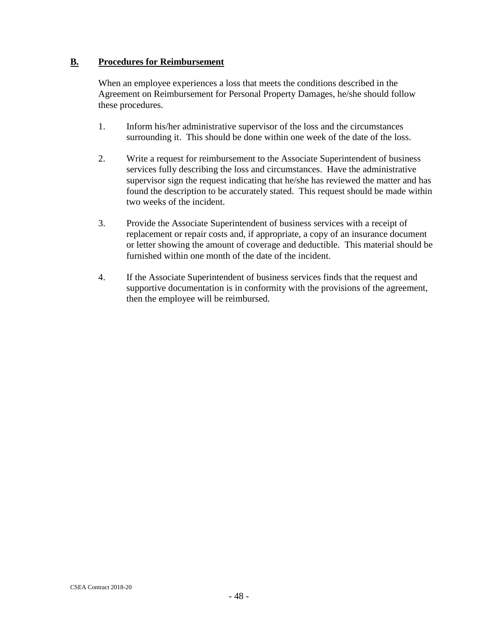#### <span id="page-47-0"></span>**B. Procedures for Reimbursement**

When an employee experiences a loss that meets the conditions described in the Agreement on Reimbursement for Personal Property Damages, he/she should follow these procedures.

- 1. Inform his/her administrative supervisor of the loss and the circumstances surrounding it. This should be done within one week of the date of the loss.
- 2. Write a request for reimbursement to the Associate Superintendent of business services fully describing the loss and circumstances. Have the administrative supervisor sign the request indicating that he/she has reviewed the matter and has found the description to be accurately stated. This request should be made within two weeks of the incident.
- 3. Provide the Associate Superintendent of business services with a receipt of replacement or repair costs and, if appropriate, a copy of an insurance document or letter showing the amount of coverage and deductible. This material should be furnished within one month of the date of the incident.
- 4. If the Associate Superintendent of business services finds that the request and supportive documentation is in conformity with the provisions of the agreement, then the employee will be reimbursed.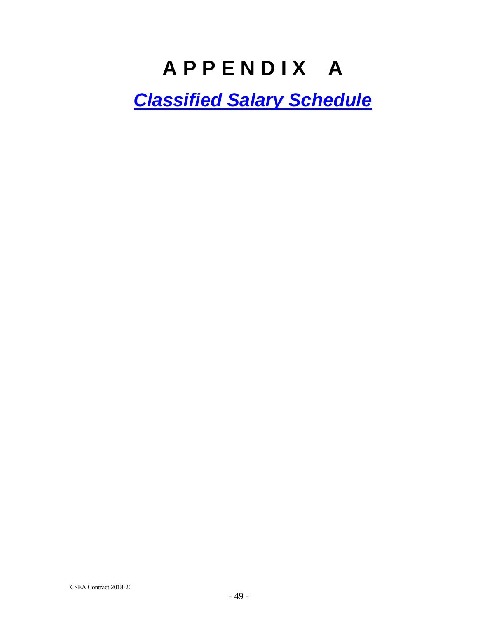## **A P P E N D I X A**

<span id="page-48-1"></span><span id="page-48-0"></span>*[Classified Salary Schedule](http://www.mvla.net/files/user/382/file/Classified%20Salary%20Schedule%202015-16.pdf)*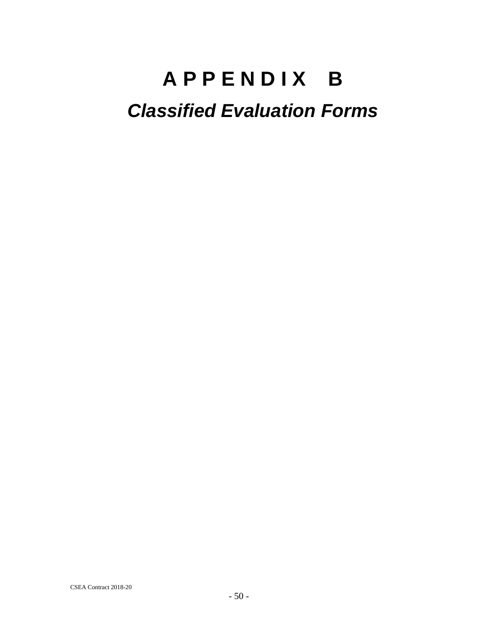# <span id="page-49-0"></span>**A P P E N D I X B** *Classified Evaluation Forms*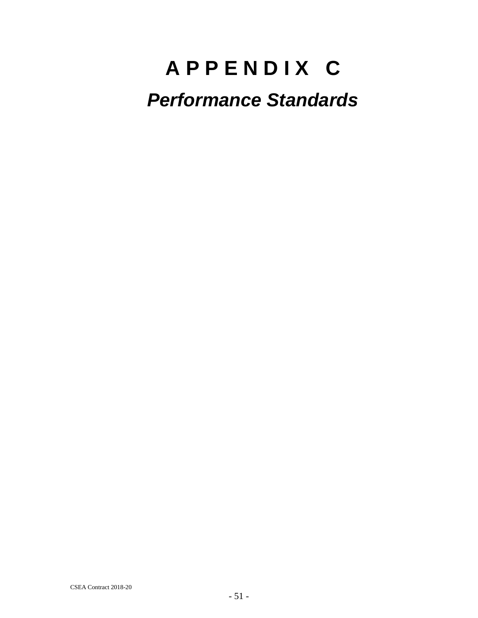# <span id="page-50-1"></span><span id="page-50-0"></span>**A P P E N D I X C** *Performance Standards*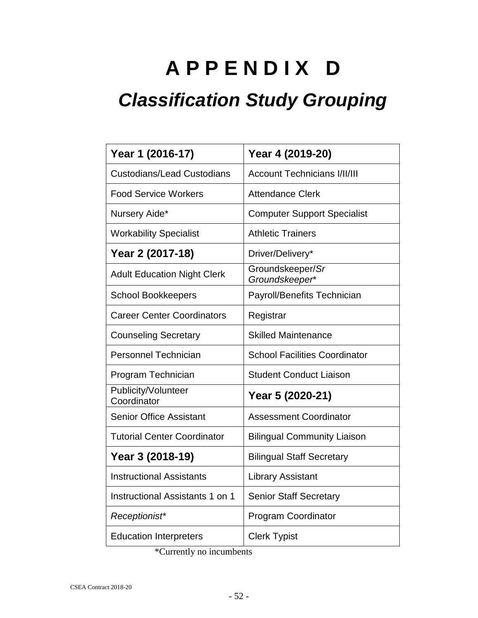# <span id="page-51-0"></span>**A P P E N D I X D** *Classification Study Grouping*

## **Year 1 (2016-17) Year 4 (2019-20)** Custodians/Lead Custodians | Account Technicians I/II/III Food Service Workers | Attendance Clerk Nursery Aide\* Support Specialist Workability Specialist | Athletic Trainers **Year 2 (2017-18)** | Driver/Delivery\* Adult Education Night Clerk Groundskeeper/*Sr Groundskeeper*\* School Bookkeepers | Payroll/Benefits Technician Career Center Coordinators | Registrar Counseling Secretary Skilled Maintenance Personnel Technician School Facilities Coordinator Program Technician | Student Conduct Liaison Publicity/Volunteer Coordinator **Year 5 (2020-21)** Senior Office Assistant Assessment Coordinator Tutorial Center Coordinator | Bilingual Community Liaison **Year 3 (2018-19)** | Bilingual Staff Secretary Instructional Assistants | Library Assistant Instructional Assistants 1 on 1 | Senior Staff Secretary *Receptionist\** Program Coordinator Education Interpreters | Clerk Typist

\*Currently no incumbents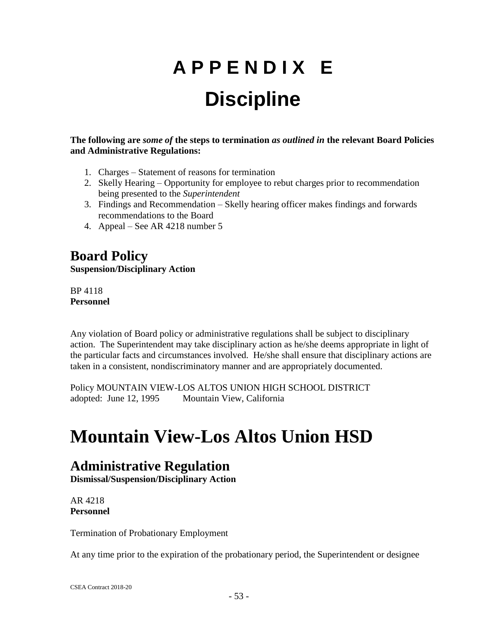# **A P P E N D I X E Discipline**

<span id="page-52-1"></span><span id="page-52-0"></span>**The following are** *some of* **the steps to termination** *as outlined in* **the relevant Board Policies and Administrative Regulations:**

- 1. Charges Statement of reasons for termination
- 2. Skelly Hearing Opportunity for employee to rebut charges prior to recommendation being presented to the *Superintendent*
- 3. Findings and Recommendation Skelly hearing officer makes findings and forwards recommendations to the Board
- 4. Appeal See AR 4218 number 5

**Board Policy Suspension/Disciplinary Action**

BP 4118 **Personnel**

Any violation of Board policy or administrative regulations shall be subject to disciplinary action. The Superintendent may take disciplinary action as he/she deems appropriate in light of the particular facts and circumstances involved. He/she shall ensure that disciplinary actions are taken in a consistent, nondiscriminatory manner and are appropriately documented.

Policy MOUNTAIN VIEW-LOS ALTOS UNION HIGH SCHOOL DISTRICT adopted: June 12, 1995 Mountain View, California

## **Mountain View-Los Altos Union HSD**

## **Administrative Regulation**

**Dismissal/Suspension/Disciplinary Action**

AR 4218 **Personnel**

Termination of Probationary Employment

At any time prior to the expiration of the probationary period, the Superintendent or designee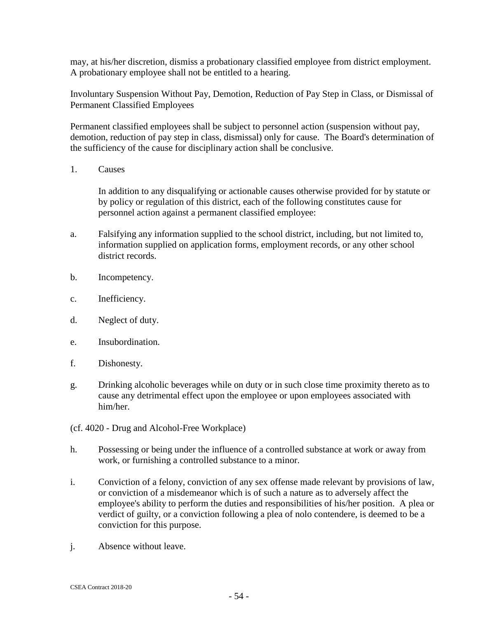may, at his/her discretion, dismiss a probationary classified employee from district employment. A probationary employee shall not be entitled to a hearing.

Involuntary Suspension Without Pay, Demotion, Reduction of Pay Step in Class, or Dismissal of Permanent Classified Employees

Permanent classified employees shall be subject to personnel action (suspension without pay, demotion, reduction of pay step in class, dismissal) only for cause. The Board's determination of the sufficiency of the cause for disciplinary action shall be conclusive.

1. Causes

In addition to any disqualifying or actionable causes otherwise provided for by statute or by policy or regulation of this district, each of the following constitutes cause for personnel action against a permanent classified employee:

- a. Falsifying any information supplied to the school district, including, but not limited to, information supplied on application forms, employment records, or any other school district records.
- b. Incompetency.
- c. Inefficiency.
- d. Neglect of duty.
- e. Insubordination.
- f. Dishonesty.
- g. Drinking alcoholic beverages while on duty or in such close time proximity thereto as to cause any detrimental effect upon the employee or upon employees associated with him/her.
- (cf. 4020 Drug and Alcohol-Free Workplace)
- h. Possessing or being under the influence of a controlled substance at work or away from work, or furnishing a controlled substance to a minor.
- i. Conviction of a felony, conviction of any sex offense made relevant by provisions of law, or conviction of a misdemeanor which is of such a nature as to adversely affect the employee's ability to perform the duties and responsibilities of his/her position. A plea or verdict of guilty, or a conviction following a plea of nolo contendere, is deemed to be a conviction for this purpose.
- j. Absence without leave.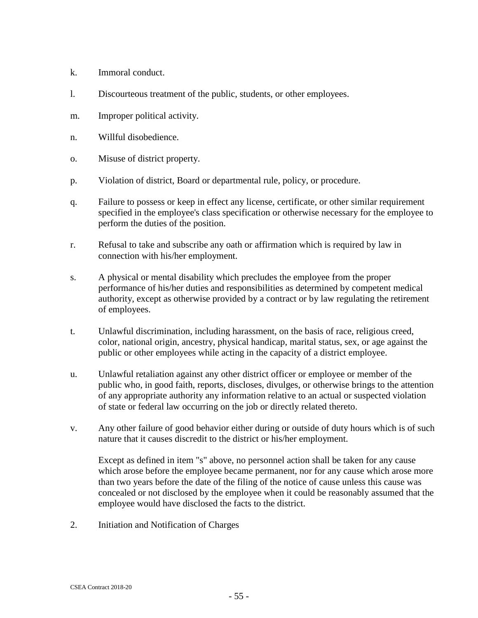- k. Immoral conduct.
- l. Discourteous treatment of the public, students, or other employees.
- m. Improper political activity.
- n. Willful disobedience.
- o. Misuse of district property.
- p. Violation of district, Board or departmental rule, policy, or procedure.
- q. Failure to possess or keep in effect any license, certificate, or other similar requirement specified in the employee's class specification or otherwise necessary for the employee to perform the duties of the position.
- r. Refusal to take and subscribe any oath or affirmation which is required by law in connection with his/her employment.
- s. A physical or mental disability which precludes the employee from the proper performance of his/her duties and responsibilities as determined by competent medical authority, except as otherwise provided by a contract or by law regulating the retirement of employees.
- t. Unlawful discrimination, including harassment, on the basis of race, religious creed, color, national origin, ancestry, physical handicap, marital status, sex, or age against the public or other employees while acting in the capacity of a district employee.
- u. Unlawful retaliation against any other district officer or employee or member of the public who, in good faith, reports, discloses, divulges, or otherwise brings to the attention of any appropriate authority any information relative to an actual or suspected violation of state or federal law occurring on the job or directly related thereto.
- v. Any other failure of good behavior either during or outside of duty hours which is of such nature that it causes discredit to the district or his/her employment.

Except as defined in item "s" above, no personnel action shall be taken for any cause which arose before the employee became permanent, nor for any cause which arose more than two years before the date of the filing of the notice of cause unless this cause was concealed or not disclosed by the employee when it could be reasonably assumed that the employee would have disclosed the facts to the district.

2. Initiation and Notification of Charges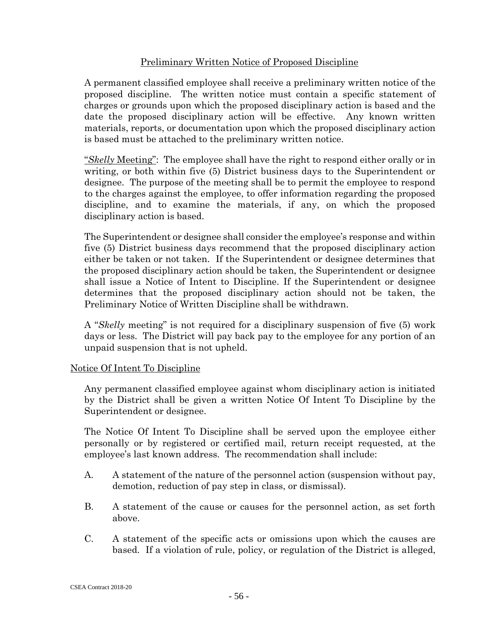#### Preliminary Written Notice of Proposed Discipline

A permanent classified employee shall receive a preliminary written notice of the proposed discipline. The written notice must contain a specific statement of charges or grounds upon which the proposed disciplinary action is based and the date the proposed disciplinary action will be effective. Any known written materials, reports, or documentation upon which the proposed disciplinary action is based must be attached to the preliminary written notice.

"*Skelly* Meeting": The employee shall have the right to respond either orally or in writing, or both within five (5) District business days to the Superintendent or designee. The purpose of the meeting shall be to permit the employee to respond to the charges against the employee, to offer information regarding the proposed discipline, and to examine the materials, if any, on which the proposed disciplinary action is based.

The Superintendent or designee shall consider the employee's response and within five (5) District business days recommend that the proposed disciplinary action either be taken or not taken. If the Superintendent or designee determines that the proposed disciplinary action should be taken, the Superintendent or designee shall issue a Notice of Intent to Discipline. If the Superintendent or designee determines that the proposed disciplinary action should not be taken, the Preliminary Notice of Written Discipline shall be withdrawn.

A "*Skelly* meeting" is not required for a disciplinary suspension of five (5) work days or less. The District will pay back pay to the employee for any portion of an unpaid suspension that is not upheld.

#### Notice Of Intent To Discipline

Any permanent classified employee against whom disciplinary action is initiated by the District shall be given a written Notice Of Intent To Discipline by the Superintendent or designee.

The Notice Of Intent To Discipline shall be served upon the employee either personally or by registered or certified mail, return receipt requested, at the employee's last known address. The recommendation shall include:

- A. A statement of the nature of the personnel action (suspension without pay, demotion, reduction of pay step in class, or dismissal).
- B. A statement of the cause or causes for the personnel action, as set forth above.
- C. A statement of the specific acts or omissions upon which the causes are based. If a violation of rule, policy, or regulation of the District is alleged,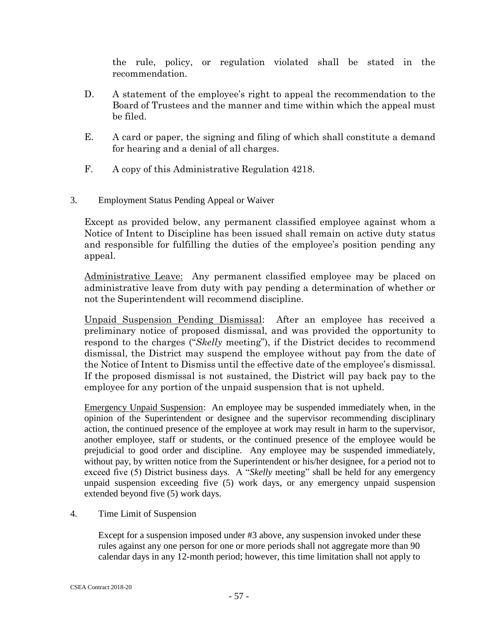the rule, policy, or regulation violated shall be stated in the recommendation.

- D. A statement of the employee's right to appeal the recommendation to the Board of Trustees and the manner and time within which the appeal must be filed.
- E. A card or paper, the signing and filing of which shall constitute a demand for hearing and a denial of all charges.
- F. A copy of this Administrative Regulation 4218.
- 3. Employment Status Pending Appeal or Waiver

Except as provided below, any permanent classified employee against whom a Notice of Intent to Discipline has been issued shall remain on active duty status and responsible for fulfilling the duties of the employee's position pending any appeal.

Administrative Leave: Any permanent classified employee may be placed on administrative leave from duty with pay pending a determination of whether or not the Superintendent will recommend discipline.

Unpaid Suspension Pending Dismissal: After an employee has received a preliminary notice of proposed dismissal, and was provided the opportunity to respond to the charges ("*Skelly* meeting"), if the District decides to recommend dismissal, the District may suspend the employee without pay from the date of the Notice of Intent to Dismiss until the effective date of the employee's dismissal. If the proposed dismissal is not sustained, the District will pay back pay to the employee for any portion of the unpaid suspension that is not upheld.

Emergency Unpaid Suspension: An employee may be suspended immediately when, in the opinion of the Superintendent or designee and the supervisor recommending disciplinary action, the continued presence of the employee at work may result in harm to the supervisor, another employee, staff or students, or the continued presence of the employee would be prejudicial to good order and discipline. Any employee may be suspended immediately, without pay, by written notice from the Superintendent or his/her designee, for a period not to exceed five (5) District business days. A "*Skelly* meeting" shall be held for any emergency unpaid suspension exceeding five (5) work days, or any emergency unpaid suspension extended beyond five (5) work days.

4. Time Limit of Suspension

Except for a suspension imposed under #3 above, any suspension invoked under these rules against any one person for one or more periods shall not aggregate more than 90 calendar days in any 12-month period; however, this time limitation shall not apply to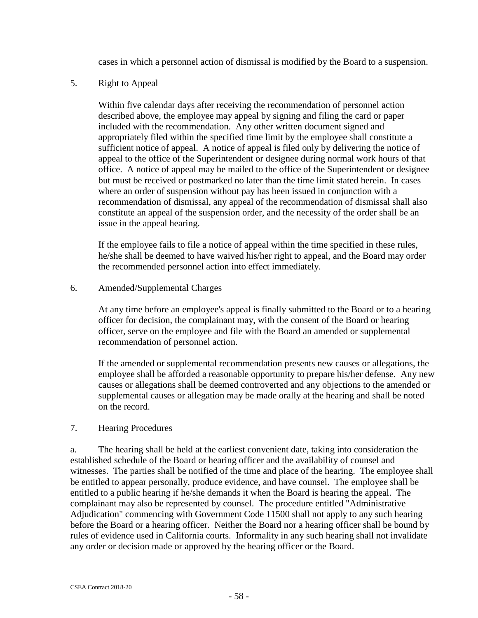cases in which a personnel action of dismissal is modified by the Board to a suspension.

5. Right to Appeal

Within five calendar days after receiving the recommendation of personnel action described above, the employee may appeal by signing and filing the card or paper included with the recommendation. Any other written document signed and appropriately filed within the specified time limit by the employee shall constitute a sufficient notice of appeal. A notice of appeal is filed only by delivering the notice of appeal to the office of the Superintendent or designee during normal work hours of that office. A notice of appeal may be mailed to the office of the Superintendent or designee but must be received or postmarked no later than the time limit stated herein. In cases where an order of suspension without pay has been issued in conjunction with a recommendation of dismissal, any appeal of the recommendation of dismissal shall also constitute an appeal of the suspension order, and the necessity of the order shall be an issue in the appeal hearing.

If the employee fails to file a notice of appeal within the time specified in these rules, he/she shall be deemed to have waived his/her right to appeal, and the Board may order the recommended personnel action into effect immediately.

6. Amended/Supplemental Charges

At any time before an employee's appeal is finally submitted to the Board or to a hearing officer for decision, the complainant may, with the consent of the Board or hearing officer, serve on the employee and file with the Board an amended or supplemental recommendation of personnel action.

If the amended or supplemental recommendation presents new causes or allegations, the employee shall be afforded a reasonable opportunity to prepare his/her defense. Any new causes or allegations shall be deemed controverted and any objections to the amended or supplemental causes or allegation may be made orally at the hearing and shall be noted on the record.

#### 7. Hearing Procedures

a. The hearing shall be held at the earliest convenient date, taking into consideration the established schedule of the Board or hearing officer and the availability of counsel and witnesses. The parties shall be notified of the time and place of the hearing. The employee shall be entitled to appear personally, produce evidence, and have counsel. The employee shall be entitled to a public hearing if he/she demands it when the Board is hearing the appeal. The complainant may also be represented by counsel. The procedure entitled "Administrative Adjudication" commencing with Government Code 11500 shall not apply to any such hearing before the Board or a hearing officer. Neither the Board nor a hearing officer shall be bound by rules of evidence used in California courts. Informality in any such hearing shall not invalidate any order or decision made or approved by the hearing officer or the Board.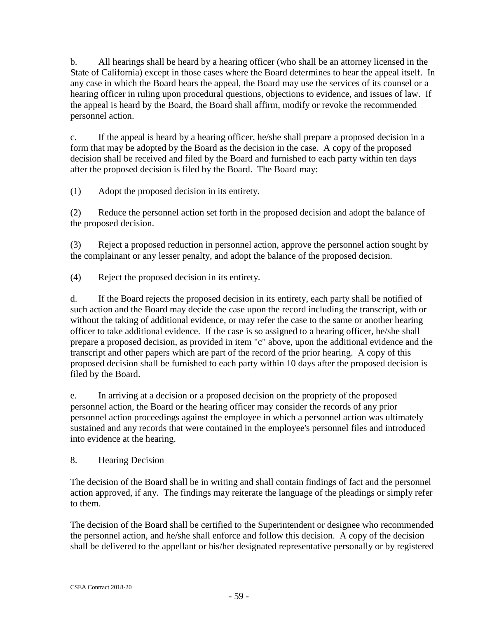b. All hearings shall be heard by a hearing officer (who shall be an attorney licensed in the State of California) except in those cases where the Board determines to hear the appeal itself. In any case in which the Board hears the appeal, the Board may use the services of its counsel or a hearing officer in ruling upon procedural questions, objections to evidence, and issues of law. If the appeal is heard by the Board, the Board shall affirm, modify or revoke the recommended personnel action.

c. If the appeal is heard by a hearing officer, he/she shall prepare a proposed decision in a form that may be adopted by the Board as the decision in the case. A copy of the proposed decision shall be received and filed by the Board and furnished to each party within ten days after the proposed decision is filed by the Board. The Board may:

(1) Adopt the proposed decision in its entirety.

(2) Reduce the personnel action set forth in the proposed decision and adopt the balance of the proposed decision.

(3) Reject a proposed reduction in personnel action, approve the personnel action sought by the complainant or any lesser penalty, and adopt the balance of the proposed decision.

(4) Reject the proposed decision in its entirety.

d. If the Board rejects the proposed decision in its entirety, each party shall be notified of such action and the Board may decide the case upon the record including the transcript, with or without the taking of additional evidence, or may refer the case to the same or another hearing officer to take additional evidence. If the case is so assigned to a hearing officer, he/she shall prepare a proposed decision, as provided in item "c" above, upon the additional evidence and the transcript and other papers which are part of the record of the prior hearing. A copy of this proposed decision shall be furnished to each party within 10 days after the proposed decision is filed by the Board.

e. In arriving at a decision or a proposed decision on the propriety of the proposed personnel action, the Board or the hearing officer may consider the records of any prior personnel action proceedings against the employee in which a personnel action was ultimately sustained and any records that were contained in the employee's personnel files and introduced into evidence at the hearing.

8. Hearing Decision

The decision of the Board shall be in writing and shall contain findings of fact and the personnel action approved, if any. The findings may reiterate the language of the pleadings or simply refer to them.

The decision of the Board shall be certified to the Superintendent or designee who recommended the personnel action, and he/she shall enforce and follow this decision. A copy of the decision shall be delivered to the appellant or his/her designated representative personally or by registered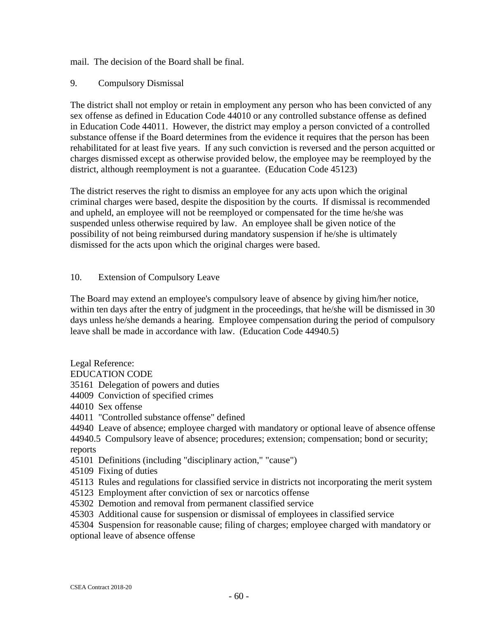mail. The decision of the Board shall be final.

#### 9. Compulsory Dismissal

The district shall not employ or retain in employment any person who has been convicted of any sex offense as defined in Education Code 44010 or any controlled substance offense as defined in Education Code 44011. However, the district may employ a person convicted of a controlled substance offense if the Board determines from the evidence it requires that the person has been rehabilitated for at least five years. If any such conviction is reversed and the person acquitted or charges dismissed except as otherwise provided below, the employee may be reemployed by the district, although reemployment is not a guarantee. (Education Code 45123)

The district reserves the right to dismiss an employee for any acts upon which the original criminal charges were based, despite the disposition by the courts. If dismissal is recommended and upheld, an employee will not be reemployed or compensated for the time he/she was suspended unless otherwise required by law. An employee shall be given notice of the possibility of not being reimbursed during mandatory suspension if he/she is ultimately dismissed for the acts upon which the original charges were based.

#### 10. Extension of Compulsory Leave

The Board may extend an employee's compulsory leave of absence by giving him/her notice, within ten days after the entry of judgment in the proceedings, that he/she will be dismissed in 30 days unless he/she demands a hearing. Employee compensation during the period of compulsory leave shall be made in accordance with law. (Education Code 44940.5)

Legal Reference:

EDUCATION CODE

- 35161 Delegation of powers and duties
- 44009 Conviction of specified crimes
- 44010 Sex offense
- 44011 "Controlled substance offense" defined

44940 Leave of absence; employee charged with mandatory or optional leave of absence offense 44940.5 Compulsory leave of absence; procedures; extension; compensation; bond or security;

reports

45101 Definitions (including "disciplinary action," "cause")

45109 Fixing of duties

- 45113 Rules and regulations for classified service in districts not incorporating the merit system
- 45123 Employment after conviction of sex or narcotics offense
- 45302 Demotion and removal from permanent classified service
- 45303 Additional cause for suspension or dismissal of employees in classified service

45304 Suspension for reasonable cause; filing of charges; employee charged with mandatory or optional leave of absence offense